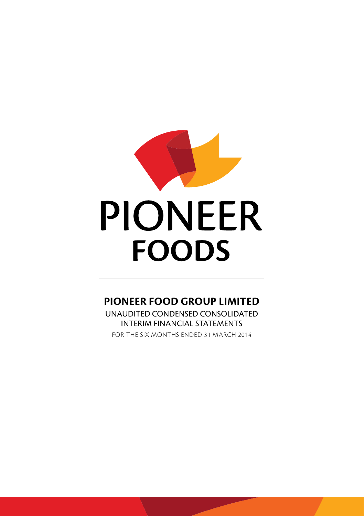

# **PIONEER FOOD GROUP LIMITED**

UNAUDITED CONDENSED CONSOLIDATED INTERIM FINANCIAL STATEMENTS

For the six months ended 31 march 2014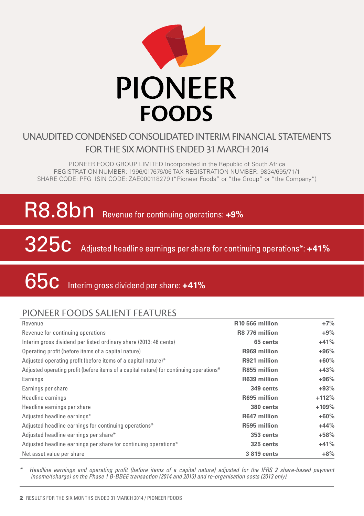

# unaudited Condensedconsolidated INTERIM financial statements for the SIX MONTHS ended 31 march 2014

PIONEER FOOD GROUP LIMITED Incorporated in the Republic of South Africa Registration number: 1996/017676/06 TAX Registration number: 9834/695/71/1 SHARE CODE: PFG ISIN CODE: ZAE000118279 ("Pioneer Foods" or "the Group" or "the Company")

# R8.8bn Revenue for continuing operations: +9%

325c Adjusted headline earnings per share for continuing operations\*: **+41%**

Interim gross dividend per share: **+41%** 65c

# Pioneer foods salient features

| Revenue                                                                                 | R <sub>10</sub> 566 million | $+7%$   |
|-----------------------------------------------------------------------------------------|-----------------------------|---------|
| Revenue for continuing operations                                                       | R8 776 million              | $+9\%$  |
| Interim gross dividend per listed ordinary share (2013: 46 cents)                       | 65 cents                    | $+41%$  |
| Operating profit (before items of a capital nature)                                     | R969 million                | $+96%$  |
| Adjusted operating profit (before items of a capital nature)*                           | R921 million                | $+60%$  |
| Adjusted operating profit (before items of a capital nature) for continuing operations* | R855 million                | $+43%$  |
| Earnings                                                                                | R639 million                | $+96%$  |
| Earnings per share                                                                      | 349 cents                   | $+93%$  |
| Headline earnings                                                                       | R695 million                | $+112%$ |
| Headline earnings per share                                                             | 380 cents                   | $+109%$ |
| Adjusted headline earnings*                                                             | R647 million                | $+60%$  |
| Adjusted headline earnings for continuing operations*                                   | R595 million                | $+44%$  |
| Adjusted headline earnings per share*                                                   | 353 cents                   | $+58%$  |
| Adjusted headline earnings per share for continuing operations*                         | 325 cents                   | $+41%$  |
| Net asset value per share                                                               | 3 819 cents                 | $+8%$   |

*\* Headline earnings and operating profit (before items of a capital nature) adjusted for the IFRS 2 share-based payment income/(charge) on the Phase 1 B-BBEE transaction (2014 and 2013) and re-organisation costs (2013 only).*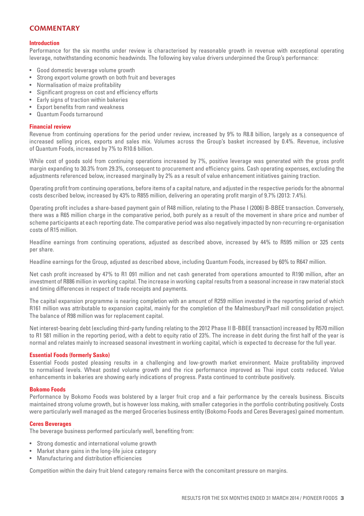#### **COMMENTARY**

#### **Introduction**

Performance for the six months under review is characterised by reasonable growth in revenue with exceptional operating leverage, notwithstanding economic headwinds. The following key value drivers underpinned the Group's performance:

- • Good domestic beverage volume growth
- • Strong export volume growth on both fruit and beverages
- • Normalisation of maize profitability
- Significant progress on cost and efficiency efforts
- Early signs of traction within bakeries
- Export benefits from rand weakness
- • Quantum Foods turnaround

#### **Financial review**

Revenue from continuing operations for the period under review, increased by 9% to R8.8 billion, largely as a consequence of increased selling prices, exports and sales mix. Volumes across the Group's basket increased by 0.4%. Revenue, inclusive of Quantum Foods, increased by 7% to R10.6 billion.

While cost of goods sold from continuing operations increased by 7%, positive leverage was generated with the gross profit margin expanding to 30.3% from 29.3%, consequent to procurement and efficiency gains. Cash operating expenses, excluding the adjustments referenced below, increased marginally by 2% as a result of value enhancement initiatives gaining traction.

Operating profit from continuing operations, before items of a capital nature, and adjusted in the respective periods for the abnormal costs described below, increased by 43% to R855 million, delivering an operating profit margin of 9.7% (2013: 7.4%).

Operating profit includes a share-based payment gain of R48 million, relating to the Phase I (2006) B-BBEE transaction. Conversely, there was a R65 million charge in the comparative period, both purely as a result of the movement in share price and number of scheme participants at each reporting date. The comparative period was also negatively impacted by non-recurring re-organisation costs of R15 million.

Headline earnings from continuing operations, adjusted as described above, increased by 44% to R595 million or 325 cents per share.

Headline earnings for the Group, adjusted as described above, including Quantum Foods, increased by 60% to R647 million.

Net cash profit increased by 47% to R1 091 million and net cash generated from operations amounted to R190 million, after an investment of R886 million in working capital. The increase in working capital results from a seasonal increase in raw material stock and timing differences in respect of trade receipts and payments.

The capital expansion programme is nearing completion with an amount of R259 million invested in the reporting period of which R161 million was attributable to expansion capital, mainly for the completion of the Malmesbury/Paarl mill consolidation project. The balance of R98 million was for replacement capital.

Net interest-bearing debt (excluding third-party funding relating to the 2012 Phase II B-BBEE transaction) increased by R570 million to R1 581 million in the reporting period, with a debt to equity ratio of 23%. The increase in debt during the first half of the year is normal and relates mainly to increased seasonal investment in working capital, which is expected to decrease for the full year.

#### **Essential Foods (formerly Sasko)**

Essential Foods posted pleasing results in a challenging and low-growth market environment. Maize profitability improved to normalised levels. Wheat posted volume growth and the rice performance improved as Thai input costs reduced. Value enhancements in bakeries are showing early indications of progress. Pasta continued to contribute positively.

#### **Bokomo Foods**

Performance by Bokomo Foods was bolstered by a larger fruit crop and a fair performance by the cereals business. Biscuits maintained strong volume growth, but is however loss making, with smaller categories in the portfolio contributing positively. Costs were particularly well managed as the merged Groceries business entity (Bokomo Foods and Ceres Beverages) gained momentum.

#### **Ceres Beverages**

The beverage business performed particularly well, benefiting from:

- • Strong domestic and international volume growth
- Market share gains in the long-life juice category
- • Manufacturing and distribution efficiencies

Competition within the dairy fruit blend category remains fierce with the concomitant pressure on margins.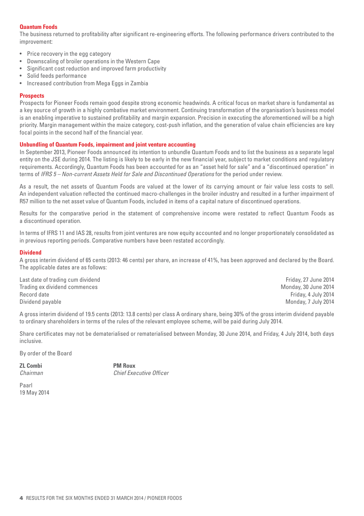#### **Quantum Foods**

The business returned to profitability after significant re-engineering efforts. The following performance drivers contributed to the improvement:

- • Price recovery in the egg category
- Downscaling of broiler operations in the Western Cape
- Significant cost reduction and improved farm productivity
- Solid feeds performance
- Increased contribution from Mega Eggs in Zambia

#### **Prospects**

Prospects for Pioneer Foods remain good despite strong economic headwinds. A critical focus on market share is fundamental as a key source of growth in a highly combative market environment. Continuing transformation of the organisation's business model is an enabling imperative to sustained profitability and margin expansion. Precision in executing the aforementioned will be a high priority. Margin management within the maize category, cost-push inflation, and the generation of value chain efficiencies are key focal points in the second half of the financial year.

#### **Unbundling of Quantum Foods, impairment and joint venture accounting**

In September 2013, Pioneer Foods announced its intention to unbundle Quantum Foods and to list the business as a separate legal entity on the JSE during 2014. The listing is likely to be early in the new financial year, subject to market conditions and regulatory requirements. Accordingly, Quantum Foods has been accounted for as an "asset held for sale" and a "discontinued operation" in terms of *IFRS 5 – Non-current Assets Held for Sale and Discontinued Operations* for the period under review.

As a result, the net assets of Quantum Foods are valued at the lower of its carrying amount or fair value less costs to sell. An independent valuation reflected the continued macro-challenges in the broiler industry and resulted in a further impairment of R57 million to the net asset value of Quantum Foods, included in items of a capital nature of discontinued operations.

Results for the comparative period in the statement of comprehensive income were restated to reflect Quantum Foods as a discontinued operation.

In terms of IFRS 11 and IAS 28, results from joint ventures are now equity accounted and no longer proportionately consolidated as in previous reporting periods. Comparative numbers have been restated accordingly.

#### **Dividend**

A gross interim dividend of 65 cents (2013: 46 cents) per share, an increase of 41%, has been approved and declared by the Board. The applicable dates are as follows:

Last date of trading cum dividend **Friday, 27 June 2014** Case of trading cum dividend Friday, 27 June 2014 Trading ex dividend commences and the second state of the Monday, 30 June 2014<br>Record date Monday, 30 June 2014 Dividend payable Monday, 7 July 2014

Friday, 4 July 2014

A gross interim dividend of 19.5 cents (2013: 13.8 cents) per class A ordinary share, being 30% of the gross interim dividend payable to ordinary shareholders in terms of the rules of the relevant employee scheme, will be paid during July 2014.

Share certificates may not be dematerialised or rematerialised between Monday, 30 June 2014, and Friday, 4 July 2014, both days inclusive.

By order of the Board

**ZL Combi PM Roux**<br>Chairman Chief Exa

*Chief Executive Officer* 

Paarl 19 May 2014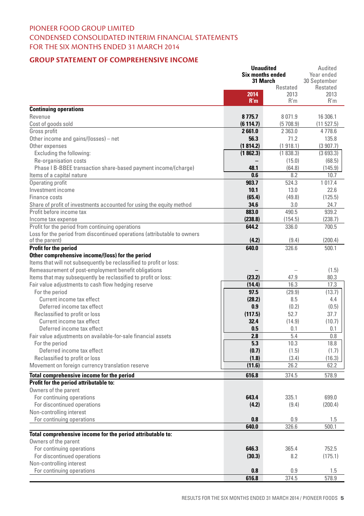# Pioneer food GROUP LIMITED condensed consolidated interim financial statements for the six months ended 31 March 2014

#### **Group Statement of Comprehensive Income**

|                                                                          | <b>Unaudited</b>        |          | Audited      |
|--------------------------------------------------------------------------|-------------------------|----------|--------------|
|                                                                          | <b>Six months ended</b> |          | Year ended   |
|                                                                          | 31 March                |          | 30 September |
|                                                                          |                         | Restated | Restated     |
|                                                                          | 2014                    | 2013     | 2013         |
|                                                                          | R'm                     | R'm      | R'm          |
| <b>Continuing operations</b>                                             |                         |          |              |
| Revenue                                                                  | 8 7 7 5 . 7             | 8071.9   | 16 306.1     |
| Cost of goods sold                                                       | (6114.7)                | (5708.9) | (11527.5)    |
| Gross profit                                                             | 2661.0                  | 2 363.0  | 4778.6       |
| Other income and gains/(losses) - net                                    | 56.3                    | 71.2     | 135.8        |
| Other expenses                                                           | (1814.2)                | (1918.1) | (3907.7)     |
| Excluding the following:                                                 | (1862.3)                | (1838.3) | (3693.3)     |
| Re-organisation costs                                                    |                         | (15.0)   | (68.5)       |
| Phase I B-BBEE transaction share-based payment income/(charge)           | 48.1                    | (64.8)   | (145.9)      |
| Items of a capital nature                                                | 0.6                     | 8.2      | 10.7         |
| Operating profit                                                         | 903.7                   | 524.3    | 1 0 1 7 .4   |
| Investment income                                                        | 10.1                    | 13.0     | 22.6         |
| Finance costs                                                            | (65.4)                  | (49.8)   | (125.5)      |
| Share of profit of investments accounted for using the equity method     | 34.6                    | 3.0      | 24.7         |
| Profit before income tax                                                 | 883.0                   | 490.5    | 939.2        |
| Income tax expense                                                       | (238.8)                 | (154.5)  | (238.7)      |
| Profit for the period from continuing operations                         | 644.2                   | 336.0    | 700.5        |
| Loss for the period from discontinued operations (attributable to owners |                         |          |              |
| of the parent)                                                           | (4.2)                   | (9.4)    | (200.4)      |
| Profit for the period                                                    | 640.0                   | 326.6    | 500.1        |
| Other comprehensive income/(loss) for the period                         |                         |          |              |
| Items that will not subsequently be reclassified to profit or loss:      |                         |          |              |
| Remeasurement of post-employment benefit obligations                     |                         |          | (1.5)        |
| Items that may subsequently be reclassified to profit or loss:           | (23.2)                  | 47.9     | 80.3         |
| Fair value adjustments to cash flow hedging reserve                      | (14.4)                  | 16.3     | 17.3         |
| For the period                                                           | 97.5                    | (29.9)   | (13.7)       |
| Current income tax effect                                                | (28.2)                  | 8.5      | 4.4          |
| Deferred income tax effect                                               | 0.9                     |          |              |
|                                                                          |                         | (0.2)    | (0.5)        |
| Reclassified to profit or loss                                           | (117.5)                 | 52.7     | 37.7         |
| Current income tax effect                                                | 32.4                    | (14.9)   | (10.7)       |
| Deferred income tax effect                                               | 0.5                     | 0.1      | 0.1          |
| Fair value adjustments on available-for-sale financial assets            | 2.8                     | 5.4      | 0.8          |
| For the period                                                           | 5.3                     | 10.3     | 18.8         |
| Deferred income tax effect                                               | (0.7)                   | (1.5)    | (1.7)        |
| Reclassified to profit or loss                                           | (1.8)                   | (3.4)    | (16.3)       |
| Movement on foreign currency translation reserve                         | (11.6)                  | 26.2     | 62.2         |
| Total comprehensive income for the period                                | 616.8                   | 374.5    | 578.9        |
| Profit for the period attributable to:                                   |                         |          |              |
| Owners of the parent                                                     |                         |          |              |
| For continuing operations                                                | 643.4                   | 335.1    | 699.0        |
| For discontinued operations                                              | (4.2)                   | (9.4)    | (200.4)      |
| Non-controlling interest                                                 |                         |          |              |
| For continuing operations                                                | 0.8                     | 0.9      | 1.5          |
|                                                                          | 640.0                   | 326.6    | 500.1        |
| Total comprehensive income for the period attributable to:               |                         |          |              |
| Owners of the parent                                                     |                         |          |              |
| For continuing operations                                                | 646.3                   | 365.4    | 752.5        |
| For discontinued operations                                              | (30.3)                  | 8.2      | (175.1)      |
| Non-controlling interest                                                 |                         |          |              |
| For continuing operations                                                | 0.8                     | 0.9      | 1.5          |
|                                                                          | 616.8                   | 374.5    | 578.9        |
|                                                                          |                         |          |              |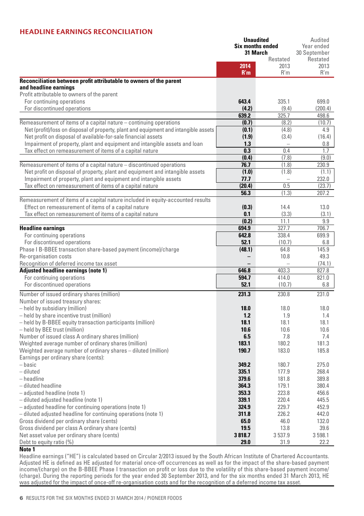### **Headline Earnings Reconciliation**

|                                                                                             |             | Unaudited               | Audited      |
|---------------------------------------------------------------------------------------------|-------------|-------------------------|--------------|
|                                                                                             |             | <b>Six months ended</b> | Year ended   |
|                                                                                             |             | 31 March                | 30 September |
|                                                                                             |             | Restated<br>2013        | Restated     |
|                                                                                             | 2014<br>R'm | R'm                     | 2013<br>R'm  |
|                                                                                             |             |                         |              |
| Reconciliation between profit attributable to owners of the parent<br>and headline earnings |             |                         |              |
| Profit attributable to owners of the parent                                                 |             |                         |              |
| For continuing operations                                                                   | 643.4       | 335.1                   | 699.0        |
| For discontinued operations                                                                 | (4.2)       | (9.4)                   | (200.4)      |
|                                                                                             | 639.2       | 325.7                   | 498.6        |
| Remeasurement of items of a capital nature – continuing operations                          | (0.7)       | (8.2)                   | (10.7)       |
| Net (profit)/loss on disposal of property, plant and equipment and intangible assets        | (0.1)       | (4.8)                   | 4.9          |
| Net profit on disposal of available-for-sale financial assets                               | (1.9)       | (3.4)                   | (16.4)       |
| Impairment of property, plant and equipment and intangible assets and loan                  | 1.3         |                         | 0.8          |
| Tax effect on remeasurement of items of a capital nature                                    | 0.3         | 0.4                     | 1.7          |
|                                                                                             | (0.4)       | (7.8)                   | (9.0)        |
| Remeasurement of items of a capital nature - discontinued operations                        | 76.7        | (1.8)                   | 230.9        |
| Net profit on disposal of property, plant and equipment and intangible assets               | (1.0)       | (1.8)                   | (1.1)        |
| Impairment of property, plant and equipment and intangible assets                           | 77.7        |                         | 232.0        |
| Tax effect on remeasurement of items of a capital nature                                    | (20.4)      | 0.5                     | (23.7)       |
|                                                                                             | 56.3        | (1.3)                   | 207.2        |
| Remeasurement of items of a capital nature included in equity-accounted results             |             |                         |              |
| Effect on remeasurement of items of a capital nature                                        | (0.3)       | 14.4                    | 13.0         |
| Tax effect on remeasurement of items of a capital nature                                    | 0.1         | (3.3)                   | (3.1)        |
|                                                                                             | (0.2)       | 11.1                    | 9.9          |
| <b>Headline earnings</b>                                                                    | 694.9       | 327.7                   | 706.7        |
| For continuing operations                                                                   | 642.8       | 338.4                   | 699.9        |
| For discontinued operations                                                                 | 52.1        | (10.7)                  | 6.8          |
| Phase I B-BBEE transaction share-based payment (income)/charge                              | (48.1)      | 64.8                    | 145.9        |
| Re-organisation costs                                                                       |             | 10.8                    | 49.3         |
| Recognition of deferred income tax asset                                                    |             |                         | (74.1)       |
| Adjusted headline earnings (note 1)                                                         | 646.8       | 403.3                   | 827.8        |
| For continuing operations                                                                   | 594.7       | 414.0                   | 821.0        |
| For discontinued operations                                                                 | 52.1        | (10.7)                  | 6.8          |
| Number of issued ordinary shares (million)                                                  | 231.3       | 230.8                   | 231.0        |
| Number of issued treasury shares:                                                           |             |                         |              |
| - held by subsidiary (million)                                                              | 18.0        | 18.0                    | 18.0         |
| - held by share incentive trust (million)                                                   | 1.2         | 1.9                     | 1.4          |
| - held by B-BBEE equity transaction participants (million)                                  | 18.1        | 18.1                    | 18.1         |
| - held by BEE trust (million)                                                               | 10.6        | 10.6                    | 10.6         |
| Number of issued class A ordinary shares (million)                                          | 6.5         | 7.8                     | 7.4          |
| Weighted average number of ordinary shares (million)                                        | 183.1       | 180.2                   | 181.3        |
| Weighted average number of ordinary shares - diluted (million)                              | 190.7       | 183.0                   | 185.8        |
| Earnings per ordinary share (cents):                                                        |             |                         |              |
| – basic                                                                                     | 349.2       | 180.7                   | 275.0        |
| - diluted                                                                                   | 335.1       | 177.9                   | 268.4        |
| - headline                                                                                  | 379.6       | 181.8                   | 389.8        |
| - diluted headline                                                                          | 364.3       | 179.1                   | 380.4        |
| - adjusted headline (note 1)                                                                | 353.3       | 223.8                   | 456.6        |
| - diluted adjusted headline (note 1)                                                        | 339.1       | 220.4                   | 445.5        |
| - adjusted headline for continuing operations (note 1)                                      | 324.9       | 229.7                   | 452.9        |
| - diluted adjusted headline for continuing operations (note 1)                              | 311.8       | 226.2                   | 442.0        |
| Gross dividend per ordinary share (cents)                                                   | 65.0        | 46.0                    | 132.0        |
| Gross dividend per class A ordinary share (cents)                                           | 19.5        | 13.8                    | 39.6         |
| Net asset value per ordinary share (cents)                                                  | 3818.7      | 3537.9                  | 3 598.1      |
| Debt to equity ratio (%)                                                                    | 29.0        | 31.9                    | 22.2         |

#### **Note 1**

Headline earnings ("HE") is calculated based on Circular 2/2013 issued by the South African Institute of Chartered Accountants. Adjusted HE is defined as HE adjusted for material once-off occurrences as well as for the impact of the share-based payment income/(charge) on the B-BBEE Phase I transaction on profit or loss due to the volatility of this share-based payment income/ (charge). During the reporting periods for the year ended 30 September 2013, and for the six months ended 31 March 2013, HE was adjusted for the impact of once-off re-organisation costs and for the recognition of a deferred income tax asset.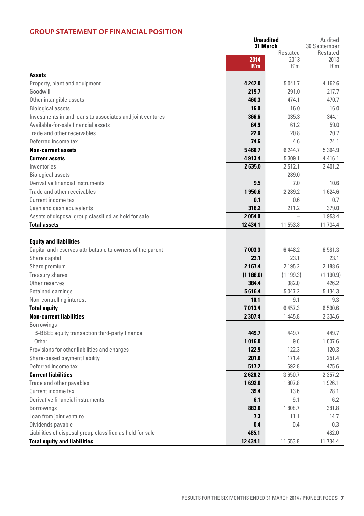### **Group Statement of Financial Position**

|                                                           | Unaudited<br>31 March |             | Audited                  |
|-----------------------------------------------------------|-----------------------|-------------|--------------------------|
|                                                           |                       | Restated    | 30 September<br>Restated |
|                                                           | 2014                  | 2013        | 2013                     |
|                                                           | R'm                   | R'm         | R'm                      |
| <b>Assets</b>                                             |                       |             |                          |
| Property, plant and equipment                             | 4 2 4 2.0             | 5 041.7     | 4 162.6                  |
| Goodwill                                                  | 219.7                 | 291.0       | 217.7                    |
| Other intangible assets                                   | 460.3                 | 474.1       | 470.7                    |
| <b>Biological assets</b>                                  | 16.0                  | 16.0        | 16.0                     |
| Investments in and loans to associates and joint ventures | 366.6                 | 335.3       | 344.1                    |
| Available-for-sale financial assets                       | 64.9                  | 61.2        | 59.0                     |
| Trade and other receivables                               | 22.6                  | 20.8        | 20.7                     |
| Deferred income tax                                       | 74.6                  | 4.6         | 74.1                     |
| <b>Non-current assets</b>                                 | 5466.7                | 6 244.7     | 5 3 6 4 . 9              |
| <b>Current assets</b>                                     | 4913.4                | 5 309.1     | 4416.1                   |
| Inventories                                               | 2635.0                | 2512.1      | 2 401.2                  |
| <b>Biological assets</b>                                  |                       | 289.0       |                          |
| Derivative financial instruments                          | 9.5                   | 7.0         | 10.6                     |
| Trade and other receivables                               | 1950.6                | 2 2 8 9 . 2 | 1624.6                   |
| Current income tax                                        | 0.1                   | 0.6         | 0.7                      |
| Cash and cash equivalents                                 | 318.2                 | 211.2       | 379.0                    |
| Assets of disposal group classified as held for sale      | 2054.0                |             | 1953.4                   |
| <b>Total assets</b>                                       | 12 434.1              | 11 553.8    | 11 734.4                 |
|                                                           |                       |             |                          |
| <b>Equity and liabilities</b>                             |                       |             |                          |
| Capital and reserves attributable to owners of the parent | 7 003.3               | 6 4 4 8.2   | 6 581.3                  |
| Share capital                                             | 23.1                  | 23.1        | 23.1                     |
| Share premium                                             | 2 167.4               | 2 195.2     | 2 188.6                  |
| Treasury shares                                           | (1188.0)              | (1199.3)    | (1190.9)                 |
| Other reserves                                            | 384.4                 | 382.0       | 426.2                    |
| Retained earnings                                         | 5616.4                | 5 047.2     | 5 1 3 4 . 3              |
| Non-controlling interest                                  | 10.1                  | 9.1         | 9.3                      |
| <b>Total equity</b>                                       | 7013.4                | 6457.3      | 6 590.6                  |
| <b>Non-current liabilities</b>                            | 2 30 7.4              | 1445.8      | 2 3 0 4.6                |
| <b>Borrowings</b>                                         |                       |             |                          |
| B-BBEE equity transaction third-party finance             | 449.7                 | 449.7       | 449.7                    |
| Other                                                     | 1016.0                | 9.6         | 1 007.6                  |
| Provisions for other liabilities and charges              | 122.9                 | 122.3       | 120.3                    |
| Share-based payment liability                             | 201.6                 | 171.4       | 251.4                    |
| Deferred income tax                                       | 517.2                 | 692.8       | 475.6                    |
| <b>Current liabilities</b>                                | 2628.2                | 3650.7      | 2 3 5 7 . 2              |
| Trade and other payables                                  | 1692.0                | 1807.8      | 1926.1                   |
| Current income tax                                        | 39.4                  | 13.6        | 28.1                     |
| Derivative financial instruments                          | 6.1                   | 9.1         | 6.2                      |
| <b>Borrowings</b>                                         | 883.0                 | 1808.7      | 381.8                    |
| Loan from joint venture                                   | 7.3                   | 11.1        | 14.7                     |
| Dividends payable                                         | 0.4                   | 0.4         | 0.3                      |
| Liabilities of disposal group classified as held for sale | 485.1                 |             | 482.0                    |
| <b>Total equity and liabilities</b>                       | 12 434.1              | 11 553.8    | 11 734.4                 |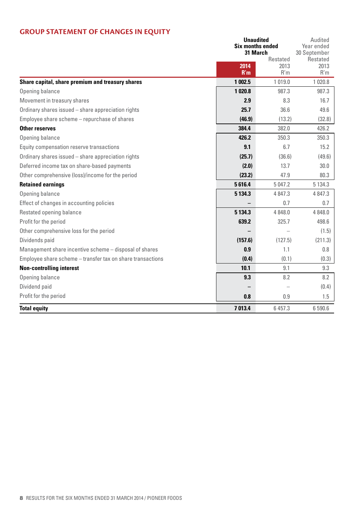# **Group Statement of Changes in Equity**

|                                                            |             | Unaudited<br><b>Six months ended</b><br>31 March |                                         |
|------------------------------------------------------------|-------------|--------------------------------------------------|-----------------------------------------|
|                                                            | 2014<br>R'm | Restated<br>2013<br>R'm                          | 30 September<br>Restated<br>2013<br>R'm |
| Share capital, share premium and treasury shares           | 1 002.5     | 1019.0                                           | 1 0 2 0.8                               |
| Opening balance                                            | 1020.8      | 987.3                                            | 987.3                                   |
| Movement in treasury shares                                | 2.9         | 8.3                                              | 16.7                                    |
| Ordinary shares issued - share appreciation rights         | 25.7        | 36.6                                             | 49.6                                    |
| Employee share scheme - repurchase of shares               | (46.9)      | (13.2)                                           | (32.8)                                  |
| <b>Other reserves</b>                                      | 384.4       | 382.0                                            | 426.2                                   |
| Opening balance                                            | 426.2       | 350.3                                            | 350.3                                   |
| Equity compensation reserve transactions                   | 9.1         | 6.7                                              | 15.2                                    |
| Ordinary shares issued - share appreciation rights         | (25.7)      | (36.6)                                           | (49.6)                                  |
| Deferred income tax on share-based payments                | (2.0)       | 13.7                                             | 30.0                                    |
| Other comprehensive (loss)/income for the period           | (23.2)      | 47.9                                             | 80.3                                    |
| <b>Retained earnings</b>                                   | 5616.4      | 5 047.2                                          | 5 1 3 4 . 3                             |
| Opening balance                                            | 5 134.3     | 4847.3                                           | 4 8 4 7 . 3                             |
| Effect of changes in accounting policies                   |             | 0.7                                              | 0.7                                     |
| Restated opening balance                                   | 5 1 3 4 .3  | 4 8 4 8 .0                                       | 4 8 4 8 .0                              |
| Profit for the period                                      | 639.2       | 325.7                                            | 498.6                                   |
| Other comprehensive loss for the period                    |             |                                                  | (1.5)                                   |
| Dividends paid                                             | (157.6)     | (127.5)                                          | (211.3)                                 |
| Management share incentive scheme - disposal of shares     | 0.9         | 1.1                                              | 0.8                                     |
| Employee share scheme - transfer tax on share transactions | (0.4)       | (0.1)                                            | (0.3)                                   |
| <b>Non-controlling interest</b>                            | 10.1        | 9.1                                              | 9.3                                     |
| Opening balance                                            | 9.3         | 8.2                                              | 8.2                                     |
| Dividend paid                                              |             |                                                  | (0.4)                                   |
| Profit for the period                                      | 0.8         | 0.9                                              | 1.5                                     |
| <b>Total equity</b>                                        | 7013.4      | 6 457.3                                          | 6 590.6                                 |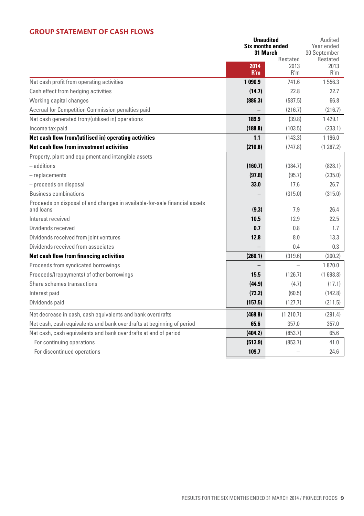#### **Group Statement of Cash Flows**

|                                                                                         |             | <b>Unaudited</b>                    | Audited<br>Year ended    |
|-----------------------------------------------------------------------------------------|-------------|-------------------------------------|--------------------------|
|                                                                                         |             | <b>Six months ended</b><br>31 March |                          |
|                                                                                         |             | Restated                            | 30 September<br>Restated |
|                                                                                         | 2014<br>R'm | 2013<br>R'm                         | 2013<br>R'm              |
| Net cash profit from operating activities                                               | 1090.9      | 741.6                               | 1 556.3                  |
| Cash effect from hedging activities                                                     | (14.7)      | 22.8                                | 22.7                     |
| Working capital changes                                                                 | (886.3)     | (587.5)                             | 66.8                     |
| Accrual for Competition Commission penalties paid                                       |             | (216.7)                             | (216.7)                  |
| Net cash generated from/(utilised in) operations                                        | 189.9       | (39.8)                              | 1429.1                   |
| Income tax paid                                                                         | (188.8)     | (103.5)                             | (233.1)                  |
| Net cash flow from/(utilised in) operating activities                                   | 1.1         | (143.3)                             | 1 1 9 6 . 0              |
| Net cash flow from investment activities                                                | (210.8)     | (747.8)                             | (1287.2)                 |
| Property, plant and equipment and intangible assets                                     |             |                                     |                          |
| - additions                                                                             | (160.7)     | (384.7)                             | (828.1)                  |
| $-$ replacements                                                                        | (97.8)      | (95.7)                              | (235.0)                  |
| - proceeds on disposal                                                                  | 33.0        | 17.6                                | 26.7                     |
| <b>Business combinations</b>                                                            |             | (315.0)                             | (315.0)                  |
| Proceeds on disposal of and changes in available-for-sale financial assets<br>and loans | (9.3)       | 7.9                                 | 26.4                     |
| Interest received                                                                       | 10.5        | 12.9                                | 22.5                     |
| Dividends received                                                                      | 0.7         | 0.8                                 | 1.7                      |
| Dividends received from joint ventures                                                  | 12.8        | 8.0                                 | 13.3                     |
| Dividends received from associates                                                      |             | 0.4                                 | 0.3                      |
| Net cash flow from financing activities                                                 | (260.1)     | (319.6)                             | (200.2)                  |
| Proceeds from syndicated borrowings                                                     |             |                                     | 1870.0                   |
| Proceeds/(repayments) of other borrowings                                               | 15.5        | (126.7)                             | (1698.8)                 |
| Share schemes transactions                                                              | (44.9)      | (4.7)                               | (17.1)                   |
| Interest paid                                                                           | (73.2)      | (60.5)                              | (142.8)                  |
| Dividends paid                                                                          | (157.5)     | (127.7)                             | (211.5)                  |
| Net decrease in cash, cash equivalents and bank overdrafts                              | (469.8)     | (1 210.7)                           | (291.4)                  |
| Net cash, cash equivalents and bank overdrafts at beginning of period                   | 65.6        | 357.0                               | 357.0                    |
| Net cash, cash equivalents and bank overdrafts at end of period                         | (404.2)     | (853.7)                             | 65.6                     |
| For continuing operations                                                               | (513.9)     | (853.7)                             | 41.0                     |
| For discontinued operations                                                             | 109.7       |                                     | 24.6                     |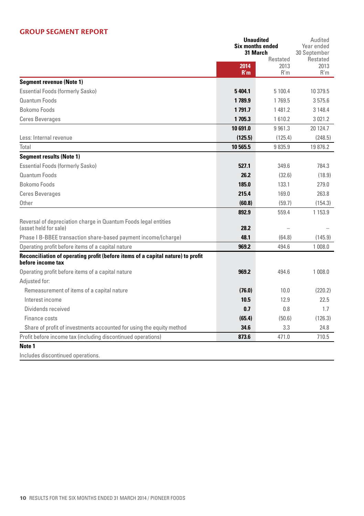#### **Group Segment Report**

|                                                                                                      | Unaudited                           |          | Audited                  |
|------------------------------------------------------------------------------------------------------|-------------------------------------|----------|--------------------------|
|                                                                                                      | <b>Six months ended</b><br>31 March |          | Year ended               |
|                                                                                                      |                                     | Restated | 30 September<br>Restated |
|                                                                                                      | 2014                                | 2013     | 2013                     |
|                                                                                                      | R'm                                 | R'm      | R'm                      |
| <b>Segment revenue (Note 1)</b>                                                                      |                                     |          |                          |
| <b>Essential Foods (formerly Sasko)</b>                                                              | 5404.1                              | 5 100.4  | 10 379.5                 |
| Quantum Foods                                                                                        | 1789.9                              | 1769.5   | 3575.6                   |
| Bokomo Foods                                                                                         | 1791.7                              | 1481.2   | 3 148.4                  |
| <b>Ceres Beverages</b>                                                                               | 1705.3                              | 1610.2   | 3021.2                   |
|                                                                                                      | 10 691.0                            | 9961.3   | 20 124.7                 |
| Less: Internal revenue                                                                               | (125.5)                             | (125.4)  | (248.5)                  |
| Total                                                                                                | 10 565.5                            | 9835.9   | 19876.2                  |
| <b>Segment results (Note 1)</b>                                                                      |                                     |          |                          |
| <b>Essential Foods (formerly Sasko)</b>                                                              | 527.1                               | 349.6    | 784.3                    |
| Quantum Foods                                                                                        | 26.2                                | (32.6)   | (18.9)                   |
| Bokomo Foods                                                                                         | 185.0                               | 133.1    | 279.0                    |
| <b>Ceres Beverages</b>                                                                               | 215.4                               | 169.0    | 263.8                    |
| Other                                                                                                | (60.8)                              | (59.7)   | (154.3)                  |
|                                                                                                      | 892.9                               | 559.4    | 1 1 5 3 . 9              |
| Reversal of depreciation charge in Quantum Foods legal entities                                      |                                     |          |                          |
| (asset held for sale)                                                                                | 28.2                                |          |                          |
| Phase I B-BBEE transaction share-based payment income/(charge)                                       | 48.1                                | (64.8)   | (145.9)                  |
| Operating profit before items of a capital nature                                                    | 969.2                               | 494.6    | 1 008.0                  |
| Reconciliation of operating profit (before items of a capital nature) to profit<br>before income tax |                                     |          |                          |
| Operating profit before items of a capital nature                                                    | 969.2                               | 494.6    | 1 008.0                  |
| Adjusted for:                                                                                        |                                     |          |                          |
| Remeasurement of items of a capital nature                                                           | (76.0)                              | 10.0     | (220.2)                  |
| Interest income                                                                                      | 10.5                                | 12.9     | 22.5                     |
| Dividends received                                                                                   | 0.7                                 | 0.8      | 1.7                      |
| Finance costs                                                                                        | (65.4)                              | (50.6)   | (126.3)                  |
| Share of profit of investments accounted for using the equity method                                 | 34.6                                | 3.3      | 24.8                     |
| Profit before income tax (including discontinued operations)                                         | 873.6                               | 471.0    | 710.5                    |
| Note 1                                                                                               |                                     |          |                          |
| Includes discontinued operations.                                                                    |                                     |          |                          |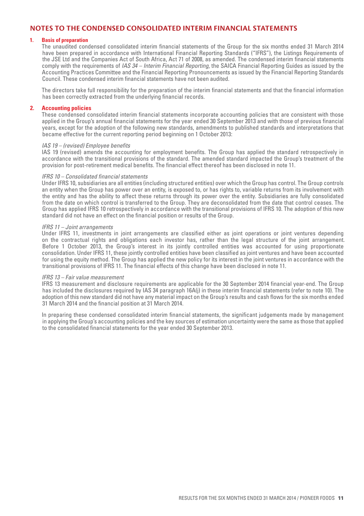### **Notes to the condensed consolidated interim financial statements**

#### **1. Basis of preparation**

 The unaudited condensed consolidated interim financial statements of the Group for the six months ended 31 March 2014 have been prepared in accordance with International Financial Reporting Standards ("IFRS"), the Listings Requirements of the JSE Ltd and the Companies Act of South Africa, Act 71 of 2008, as amended. The condensed interim financial statements comply with the requirements of *IAS 34 – Interim Financial Reporting*, the SAICA Financial Reporting Guides as issued by the Accounting Practices Committee and the Financial Reporting Pronouncements as issued by the Financial Reporting Standards Council. These condensed interim financial statements have not been audited.

 The directors take full responsibility for the preparation of the interim financial statements and that the financial information has been correctly extracted from the underlying financial records.

#### **2. Accounting policies**

 These condensed consolidated interim financial statements incorporate accounting policies that are consistent with those applied in the Group's annual financial statements for the year ended 30 September 2013 and with those of previous financial years, except for the adoption of the following new standards, amendments to published standards and interpretations that became effective for the current reporting period beginning on 1 October 2013:

#### *IAS 19 – (revised) Employee benefits*

 IAS 19 (revised) amends the accounting for employment benefits. The Group has applied the standard retrospectively in accordance with the transitional provisions of the standard. The amended standard impacted the Group's treatment of the provision for post-retirement medical benefits. The financial effect thereof has been disclosed in note 11.

#### *IFRS 10 – Consolidated financial statements*

 Under IFRS 10, subsidiaries are all entities (including structured entities) over which the Group has control. The Group controls an entity when the Group has power over an entity, is exposed to, or has rights to, variable returns from its involvement with the entity and has the ability to affect these returns through its power over the entity. Subsidiaries are fully consolidated from the date on which control is transferred to the Group. They are deconsolidated from the date that control ceases. The Group has applied IFRS 10 retrospectively in accordance with the transitional provisions of IFRS 10. The adoption of this new standard did not have an effect on the financial position or results of the Group.

#### *IFRS 11 – Joint arrangements*

 Under IFRS 11, investments in joint arrangements are classified either as joint operations or joint ventures depending on the contractual rights and obligations each investor has, rather than the legal structure of the joint arrangement. Before 1 October 2013, the Group's interest in its jointly controlled entities was accounted for using proportionate consolidation. Under IFRS 11, these jointly controlled entities have been classified as joint ventures and have been accounted for using the equity method. The Group has applied the new policy for its interest in the joint ventures in accordance with the transitional provisions of IFRS 11. The financial effects of this change have been disclosed in note 11.

#### *IFRS 13 – Fair value measurement*

 IFRS 13 measurement and disclosure requirements are applicable for the 30 September 2014 financial year-end. The Group has included the disclosures required by IAS 34 paragraph 16A(j) in these interim financial statements (refer to note 10). The adoption of this new standard did not have any material impact on the Group's results and cash flows for the six months ended 31 March 2014 and the financial position at 31 March 2014.

 In preparing these condensed consolidated interim financial statements, the significant judgements made by management in applying the Group's accounting policies and the key sources of estimation uncertainty were the same as those that applied to the consolidated financial statements for the year ended 30 September 2013.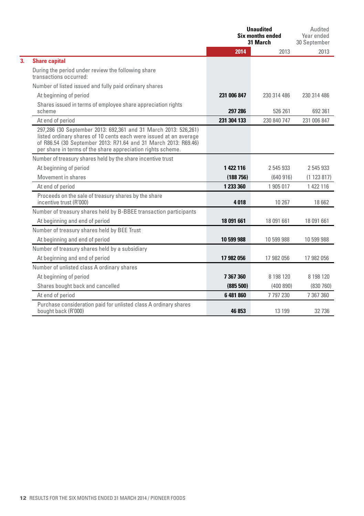|    |                                                                                                                                                                                                                                                                        | <b>Unaudited</b><br><b>Six months ended</b><br>31 March |               | Audited<br>Year ended<br>30 September |
|----|------------------------------------------------------------------------------------------------------------------------------------------------------------------------------------------------------------------------------------------------------------------------|---------------------------------------------------------|---------------|---------------------------------------|
|    |                                                                                                                                                                                                                                                                        | 2014                                                    | 2013          | 2013                                  |
| 3. | <b>Share capital</b>                                                                                                                                                                                                                                                   |                                                         |               |                                       |
|    | During the period under review the following share<br>transactions occurred:                                                                                                                                                                                           |                                                         |               |                                       |
|    | Number of listed issued and fully paid ordinary shares                                                                                                                                                                                                                 |                                                         |               |                                       |
|    | At beginning of period                                                                                                                                                                                                                                                 | 231 006 847                                             | 230 314 486   | 230 314 486                           |
|    | Shares issued in terms of employee share appreciation rights<br>scheme                                                                                                                                                                                                 | 297 286                                                 | 526 261       | 692 361                               |
|    | At end of period                                                                                                                                                                                                                                                       | 231 304 133                                             | 230 840 747   | 231 006 847                           |
|    | 297,286 (30 September 2013: 692,361 and 31 March 2013: 526,261)<br>listed ordinary shares of 10 cents each were issued at an average<br>of R86.54 (30 September 2013: R71.64 and 31 March 2013: R69.46)<br>per share in terms of the share appreciation rights scheme. |                                                         |               |                                       |
|    | Number of treasury shares held by the share incentive trust                                                                                                                                                                                                            |                                                         |               |                                       |
|    | At beginning of period                                                                                                                                                                                                                                                 | 1 422 116                                               | 2 545 933     | 2 545 933                             |
|    | Movement in shares                                                                                                                                                                                                                                                     | (188756)                                                | (640916)      | (1123817)                             |
|    | At end of period                                                                                                                                                                                                                                                       | 1 233 360                                               | 1 905 017     | 1 422 116                             |
|    | Proceeds on the sale of treasury shares by the share<br>incentive trust (R'000)                                                                                                                                                                                        | 4018                                                    | 10 267        | 18 662                                |
|    | Number of treasury shares held by B-BBEE transaction participants                                                                                                                                                                                                      |                                                         |               |                                       |
|    | At beginning and end of period                                                                                                                                                                                                                                         | 18 091 661                                              | 18 091 661    | 18 091 661                            |
|    | Number of treasury shares held by BEE Trust                                                                                                                                                                                                                            |                                                         |               |                                       |
|    | At beginning and end of period                                                                                                                                                                                                                                         | 10 599 988                                              | 10 599 988    | 10 599 988                            |
|    | Number of treasury shares held by a subsidiary                                                                                                                                                                                                                         |                                                         |               |                                       |
|    | At beginning and end of period                                                                                                                                                                                                                                         | 17 982 056                                              | 17 982 056    | 17 982 056                            |
|    | Number of unlisted class A ordinary shares                                                                                                                                                                                                                             |                                                         |               |                                       |
|    | At beginning of period                                                                                                                                                                                                                                                 | 7367360                                                 | 8 198 120     | 8 198 120                             |
|    | Shares bought back and cancelled                                                                                                                                                                                                                                       | (885 500)                                               | (400 890)     | (830760)                              |
|    | At end of period                                                                                                                                                                                                                                                       | 6 481 860                                               | 7 7 9 7 2 3 0 | 7 367 360                             |
|    | Purchase consideration paid for unlisted class A ordinary shares<br>bought back (R'000)                                                                                                                                                                                | 46853                                                   | 13 199        | 32 736                                |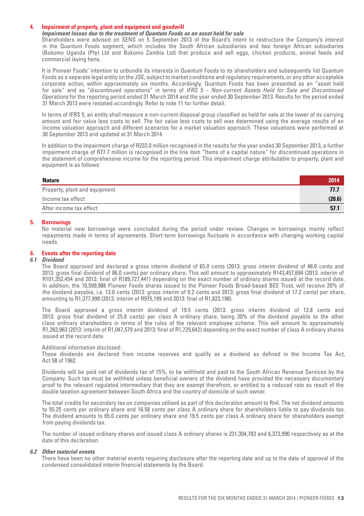#### **4. Impairment of property, plant and equipment and goodwill**

#### *Impairment losses due to the treatment of Quantum Foods as an asset held for sale*

 Shareholders were advised on SENS on 5 September 2013 of the Board's intent to restructure the Company's interest in the Quantum Foods segment, which includes the South African subsidiaries and two foreign African subsidiaries (Bokomo Uganda (Pty) Ltd and Bokomo Zambia Ltd) that produce and sell eggs, chicken products, animal feeds and commercial laying hens.

It is Pioneer Foods' intention to unbundle its interests in Quantum Foods to its shareholders and subsequently list Quantum Foods as a separate legal entity on the JSE, subject to market conditions and regulatory requirements, or any other acceptable corporate action, within approximately six months. Accordingly, Quantum Foods has been presented as an "asset held for sale" and as "discontinued operations" in terms of *IFRS 5 – Non-current Assets Held for Sale and Discontinued Operations* for the reporting period ended 31 March 2014 and the year ended 30 September 2013. Results for the period ended 31 March 2013 were restated accordingly. Refer to note 11 for further detail.

 In terms of IFRS 5, an entity shall measure a non-current disposal group classified as held for sale at the lower of its carrying amount and fair value less costs to sell. The fair value less costs to sell was determined using the average results of an income valuation approach and different scenarios for a market valuation approach. These valuations were performed at 30 September 2013 and updated at 31 March 2014.

 In addition to the impairment charge of R232.0 million recognised in the results for the year ended 30 September 2013, a further impairment charge of R77.7 million is recognised in the line item "Items of a capital nature" for discontinued operations in the statement of comprehensive income for the reporting period. This impairment charge attributable to property, plant and equipment is as follows:

| <b>Nature</b>                 | 2014   |
|-------------------------------|--------|
| Property, plant and equipment | 77.7   |
| Income tax effect             | (20.6) |
| After income tax effect       | 57.1   |
|                               |        |

#### **5. Borrowings**

No material new borrowings were concluded during the period under review. Changes in borrowings mainly reflect repayments made in terms of agreements. Short-term borrowings fluctuate in accordance with changing working capital needs.

#### **6. Events after the reporting date**

#### *6.1 Dividend*

 The Board approved and declared a gross interim dividend of 65.0 cents (2013: gross interim dividend of 46.0 cents and 2013: gross final dividend of 86.0 cents) per ordinary share. This will amount to approximately R143,457,694 (2013: interim of R101,352,454 and 2013: final of R189,727,441) depending on the exact number of ordinary shares issued at the record date. In addition, the 10,599,988 Pioneer Foods shares issued to the Pioneer Foods Broad-based BEE Trust, will receive 20% of the dividend payable, i.e. 13.0 cents (2013: gross interim of 9.2 cents and 2013: gross final dividend of 17.2 cents) per share, amounting to R1,377,998 (2013: interim of R975,199 and 2013: final of R1,823,198).

 The Board approved a gross interim dividend of 19.5 cents (2013: gross interim dividend of 13.8 cents and 2013: gross final dividend of 25.8 cents) per class A ordinary share, being 30% of the dividend payable to the other class ordinary shareholders in terms of the rules of the relevant employee scheme. This will amount to approximately R1,263,963 (2013: interim of R1,047,579 and 2013: final of R1,729,642) depending on the exact number of class A ordinary shares issued at the record date.

#### Additional information disclosed:

 These dividends are declared from income reserves and qualify as a dividend as defined in the Income Tax Act, Act 58 of 1962.

 Dividends will be paid net of dividends tax of 15%, to be withheld and paid to the South African Revenue Services by the Company. Such tax must be withheld unless beneficial owners of the dividend have provided the necessary documentary proof to the relevant regulated intermediary that they are exempt therefrom, or entitled to a reduced rate as result of the double taxation agreement between South Africa and the country of domicile of such owner.

 The total credits for secondary tax on companies utilised as part of this declaration amount to Rnil. The net dividend amounts to 55.25 cents per ordinary share and 16.58 cents per class A ordinary share for shareholders liable to pay dividends tax. The dividend amounts to 65.0 cents per ordinary share and 19.5 cents per class A ordinary share for shareholders exempt from paying dividends tax.

The number of issued ordinary shares and issued class A ordinary shares is 231,304,783 and 6,373,990 respectively as at the date of this declaration.

#### *6.2 Other material events*

 There have been no other material events requiring disclosure after the reporting date and up to the date of approval of the condensed consolidated interim financial statements by the Board.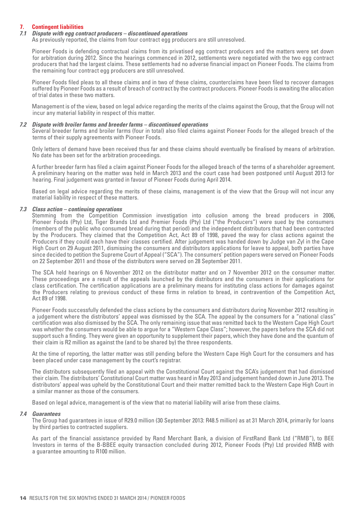#### **7. Contingent liabilities**

#### *7.1 Dispute with egg contract producers – discontinued operations*

As previously reported, the claims from four contract egg producers are still unresolved.

 Pioneer Foods is defending contractual claims from its privatised egg contract producers and the matters were set down for arbitration during 2012. Since the hearings commenced in 2012, settlements were negotiated with the two egg contract producers that had the largest claims. These settlements had no adverse financial impact on Pioneer Foods. The claims from the remaining four contract egg producers are still unresolved.

 Pioneer Foods filed pleas to all these claims and in two of these claims, counterclaims have been filed to recover damages suffered by Pioneer Foods as a result of breach of contract by the contract producers. Pioneer Foods is awaiting the allocation of trial dates in these two matters.

 Management is of the view, based on legal advice regarding the merits of the claims against the Group, that the Group will not incur any material liability in respect of this matter.

#### *7.2 Dispute with broiler farms and breeder farms – discontinued operations*

 Several breeder farms and broiler farms (four in total) also filed claims against Pioneer Foods for the alleged breach of the terms of their supply agreements with Pioneer Foods.

 Only letters of demand have been received thus far and these claims should eventually be finalised by means of arbitration. No date has been set for the arbitration proceedings.

 A further breeder farm has filed a claim against Pioneer Foods for the alleged breach of the terms of a shareholder agreement. A preliminary hearing on the matter was held in March 2013 and the court case had been postponed until August 2013 for hearing. Final judgement was granted in favour of Pioneer Foods during April 2014.

 Based on legal advice regarding the merits of these claims, management is of the view that the Group will not incur any material liability in respect of these matters.

#### *7.3 Class action – continuing operations*

 Stemming from the Competition Commission investigation into collusion among the bread producers in 2006, Pioneer Foods (Pty) Ltd, Tiger Brands Ltd and Premier Foods (Pty) Ltd ("the Producers") were sued by the consumers (members of the public who consumed bread during that period) and the independent distributors that had been contracted by the Producers. They claimed that the Competition Act, Act 89 of 1998, paved the way for class actions against the Producers if they could each have their classes certified. After judgement was handed down by Judge van Zyl in the Cape High Court on 29 August 2011, dismissing the consumers and distributors applications for leave to appeal, both parties have since decided to petition the Supreme Court of Appeal ("SCA"). The consumers' petition papers were served on Pioneer Foods on 22 September 2011 and those of the distributors were served on 28 September 2011.

The SCA held hearings on 6 November 2012 on the distributor matter and on 7 November 2012 on the consumer matter. These proceedings are a result of the appeals launched by the distributors and the consumers in their applications for class certification. The certification applications are a preliminary means for instituting class actions for damages against the Producers relating to previous conduct of these firms in relation to bread, in contravention of the Competition Act, Act 89 of 1998.

 Pioneer Foods successfully defended the class actions by the consumers and distributors during November 2012 resulting in a judgement where the distributors' appeal was dismissed by the SCA. The appeal by the consumers for a "national class" certification was also dismissed by the SCA. The only remaining issue that was remitted back to the Western Cape High Court was whether the consumers would be able to argue for a "Western Cape Class"; however, the papers before the SCA did not support such a finding. They were given an opportunity to supplement their papers, which they have done and the quantum of their claim is R2 million as against the (and to be shared by) the three respondents.

 At the time of reporting, the latter matter was still pending before the Western Cape High Court for the consumers and has been placed under case management by the court's registrar.

 The distributors subsequently filed an appeal with the Constitutional Court against the SCA's judgement that had dismissed their claim. The distributors' Constitutional Court matter was heard in May 2013 and judgement handed down in June 2013. The distributors' appeal was upheld by the Constitutional Court and their matter remitted back to the Western Cape High Court in a similar manner as those of the consumers.

Based on legal advice, management is of the view that no material liability will arise from these claims.

#### *7.4 Guarantees*

 The Group had guarantees in issue of R29.0 million (30 September 2013: R48.5 million) as at 31 March 2014, primarily for loans by third parties to contracted suppliers.

As part of the financial assistance provided by Rand Merchant Bank, a division of FirstRand Bank Ltd ("RMB"), to BEE Investors in terms of the B-BBEE equity transaction concluded during 2012, Pioneer Foods (Pty) Ltd provided RMB with a guarantee amounting to R100 million.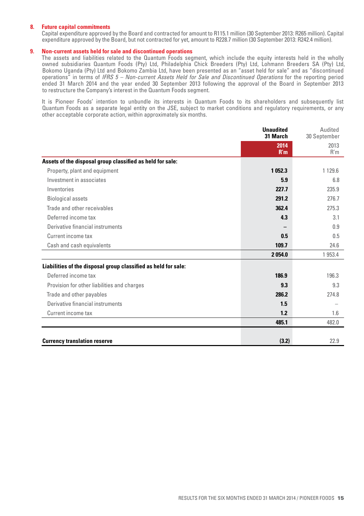#### **8. Future capital commitments**

 Capital expenditure approved by the Board and contracted for amount to R115.1 million (30 September 2013: R265 million). Capital expenditure approved by the Board, but not contracted for yet, amount to R228.7 million (30 September 2013: R242.4 million).

#### **9. Non-current assets held for sale and discontinued operations**

The assets and liabilities related to the Quantum Foods segment, which include the equity interests held in the wholly owned subsidiaries Quantum Foods (Pty) Ltd, Philadelphia Chick Breeders (Pty) Ltd, Lohmann Breeders SA (Pty) Ltd, Bokomo Uganda (Pty) Ltd and Bokomo Zambia Ltd, have been presented as an "asset held for sale" and as "discontinued operations" in terms of *IFRS 5 – Non-current Assets Held for Sale and Discontinued Operations* for the reporting period ended 31 March 2014 and the year ended 30 September 2013 following the approval of the Board in September 2013 to restructure the Company's interest in the Quantum Foods segment.

It is Pioneer Foods' intention to unbundle its interests in Quantum Foods to its shareholders and subsequently list Quantum Foods as a separate legal entity on the JSE, subject to market conditions and regulatory requirements, or any other acceptable corporate action, within approximately six months.

|                                                                | <b>Unaudited</b><br>31 March | Audited<br>30 September |
|----------------------------------------------------------------|------------------------------|-------------------------|
|                                                                | 2014<br>R'm                  | 2013<br>R'm             |
| Assets of the disposal group classified as held for sale:      |                              |                         |
| Property, plant and equipment                                  | 1052.3                       | 1 1 2 9 . 6             |
| Investment in associates                                       | 5.9                          | 6.8                     |
| Inventories                                                    | 227.7                        | 235.9                   |
| <b>Biological assets</b>                                       | 291.2                        | 276.7                   |
| Trade and other receivables                                    | 362.4                        | 275.3                   |
| Deferred income tax                                            | 4.3                          | 3.1                     |
| Derivative financial instruments                               |                              | 0.9                     |
| Current income tax                                             | 0.5                          | 0.5                     |
| Cash and cash equivalents                                      | 109.7                        | 24.6                    |
|                                                                | 2054.0                       | 1 953.4                 |
| Liabilities of the disposal group classified as held for sale: |                              |                         |
| Deferred income tax                                            | 186.9                        | 196.3                   |
| Provision for other liabilities and charges                    | 9.3                          | 9.3                     |
| Trade and other payables                                       | 286.2                        | 274.8                   |
| Derivative financial instruments                               | 1.5                          |                         |
| Current income tax                                             | 1.2                          | 1.6                     |
|                                                                | 485.1                        | 482.0                   |
|                                                                |                              |                         |
| <b>Currency translation reserve</b>                            | (3.2)                        | 22.9                    |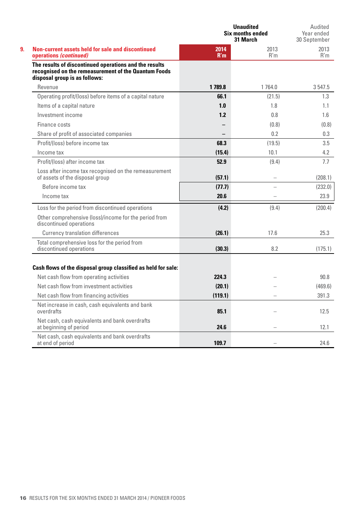|                                                                                                                                                 |             | <b>Unaudited</b><br><b>Six months ended</b><br>31 March | Audited<br>Year ended<br>30 September |  |
|-------------------------------------------------------------------------------------------------------------------------------------------------|-------------|---------------------------------------------------------|---------------------------------------|--|
| Non-current assets held for sale and discontinued<br>operations (continued)                                                                     | 2014<br>R'm | 2013<br>R'm                                             | 2013<br>R'm                           |  |
| The results of discontinued operations and the results<br>recognised on the remeasurement of the Quantum Foods<br>disposal group is as follows: |             |                                                         |                                       |  |
| Revenue                                                                                                                                         | 1789.8      | 1764.0                                                  | 3 547.5                               |  |
| Operating profit/(loss) before items of a capital nature                                                                                        | 66.1        | (21.5)                                                  | 1.3                                   |  |
| Items of a capital nature                                                                                                                       | 1.0         | 1.8                                                     | 1.1                                   |  |
| Investment income                                                                                                                               | 1.2         | 0.8                                                     | 1.6                                   |  |
| Finance costs                                                                                                                                   |             | (0.8)                                                   | (0.8)                                 |  |
| Share of profit of associated companies                                                                                                         |             | 0.2                                                     | 0.3                                   |  |
| Profit/(loss) before income tax                                                                                                                 | 68.3        | (19.5)                                                  | 3.5                                   |  |
| Income tax                                                                                                                                      | (15.4)      | 10.1                                                    | 4.2                                   |  |
| Profit/(loss) after income tax                                                                                                                  | 52.9        | (9.4)                                                   | 7.7                                   |  |
| Loss after income tax recognised on the remeasurement<br>of assets of the disposal group                                                        | (57.1)      | $\overline{\phantom{0}}$                                | (208.1)                               |  |
| Before income tax                                                                                                                               | (77.7)      |                                                         | (232.0)                               |  |
| Income tax                                                                                                                                      | 20.6        |                                                         | 23.9                                  |  |
| Loss for the period from discontinued operations                                                                                                | (4.2)       | (9.4)                                                   | (200.4)                               |  |
| Other comprehensive (loss)/income for the period from<br>discontinued operations                                                                |             |                                                         |                                       |  |
| <b>Currency translation differences</b>                                                                                                         | (26.1)      | 17.6                                                    | 25.3                                  |  |
| Total comprehensive loss for the period from<br>discontinued operations                                                                         | (30.3)      | 8.2                                                     | (175.1)                               |  |
| Cash flows of the disposal group classified as held for sale:                                                                                   |             |                                                         |                                       |  |
| Net cash flow from operating activities                                                                                                         | 224.3       |                                                         | 90.8                                  |  |
| Net cash flow from investment activities                                                                                                        | (20.1)      |                                                         | (469.6)                               |  |
| Net cash flow from financing activities                                                                                                         | (119.1)     |                                                         | 391.3                                 |  |
| Net increase in cash, cash equivalents and bank<br>overdrafts                                                                                   | 85.1        |                                                         | 12.5                                  |  |
| Net cash, cash equivalents and bank overdrafts<br>at beginning of period                                                                        | 24.6        |                                                         | 12.1                                  |  |
| Net cash, cash equivalents and bank overdrafts<br>at end of period                                                                              | 109.7       |                                                         | 24.6                                  |  |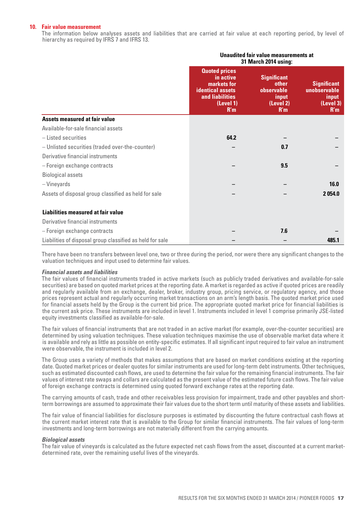#### **10. Fair value measurement**

 The information below analyses assets and liabilities that are carried at fair value at each reporting period, by level of hierarchy as required by IFRS 7 and IFRS 13.

|                                                           |                                                                                                                    | Unaudited fair value measurements at<br>31 March 2014 using:           |                                                                 |
|-----------------------------------------------------------|--------------------------------------------------------------------------------------------------------------------|------------------------------------------------------------------------|-----------------------------------------------------------------|
|                                                           | <b>Quoted prices</b><br>in active<br>markets for<br><b>identical assets</b><br>and liabilities<br>(Level 1)<br>R'm | <b>Significant</b><br>other<br>observable<br>input<br>(Level 2)<br>R'm | <b>Significant</b><br>unobservable<br>input<br>(Level 3)<br>R'm |
| Assets measured at fair value                             |                                                                                                                    |                                                                        |                                                                 |
| Available-for-sale financial assets                       |                                                                                                                    |                                                                        |                                                                 |
| - Listed securities                                       | 64.2                                                                                                               |                                                                        |                                                                 |
| - Unlisted securities (traded over-the-counter)           |                                                                                                                    | 0.7                                                                    |                                                                 |
| Derivative financial instruments                          |                                                                                                                    |                                                                        |                                                                 |
| - Foreign exchange contracts                              |                                                                                                                    | 9.5                                                                    |                                                                 |
| <b>Biological assets</b>                                  |                                                                                                                    |                                                                        |                                                                 |
| - Vineyards                                               |                                                                                                                    |                                                                        | 16.0                                                            |
| Assets of disposal group classified as held for sale      |                                                                                                                    |                                                                        | 2054.0                                                          |
| Liabilities measured at fair value                        |                                                                                                                    |                                                                        |                                                                 |
| Derivative financial instruments                          |                                                                                                                    |                                                                        |                                                                 |
| - Foreign exchange contracts                              |                                                                                                                    | 7.6                                                                    |                                                                 |
| Liabilities of disposal group classified as held for sale |                                                                                                                    |                                                                        | 485.1                                                           |

 There have been no transfers between level one, two or three during the period, nor were there any significant changes to the valuation techniques and input used to determine fair values.

#### *Financial assets and liabilities*

 The fair values of financial instruments traded in active markets (such as publicly traded derivatives and available-for-sale securities) are based on quoted market prices at the reporting date. A market is regarded as active if quoted prices are readily and regularly available from an exchange, dealer, broker, industry group, pricing service, or regulatory agency, and those prices represent actual and regularly occurring market transactions on an arm's length basis. The quoted market price used for financial assets held by the Group is the current bid price. The appropriate quoted market price for financial liabilities is the current ask price. These instruments are included in level 1. Instruments included in level 1 comprise primarily JSE-listed equity investments classified as available-for-sale.

 The fair values of financial instruments that are not traded in an active market (for example, over-the-counter securities) are determined by using valuation techniques. These valuation techniques maximise the use of observable market data where it is available and rely as little as possible on entity-specific estimates. If all significant input required to fair value an instrument were observable, the instrument is included in level 2.

 The Group uses a variety of methods that makes assumptions that are based on market conditions existing at the reporting date. Quoted market prices or dealer quotes for similar instruments are used for long-term debt instruments. Other techniques, such as estimated discounted cash flows, are used to determine the fair value for the remaining financial instruments. The fair values of interest rate swaps and collars are calculated as the present value of the estimated future cash flows. The fair value of foreign exchange contracts is determined using quoted forward exchange rates at the reporting date.

 The carrying amounts of cash, trade and other receivables less provision for impairment, trade and other payables and shortterm borrowings are assumed to approximate their fair values due to the short term until maturity of these assets and liabilities.

The fair value of financial liabilities for disclosure purposes is estimated by discounting the future contractual cash flows at the current market interest rate that is available to the Group for similar financial instruments. The fair values of long-term investments and long-term borrowings are not materially different from the carrying amounts.

#### *Biological assets*

The fair value of vineyards is calculated as the future expected net cash flows from the asset, discounted at a current marketdetermined rate, over the remaining useful lives of the vineyards.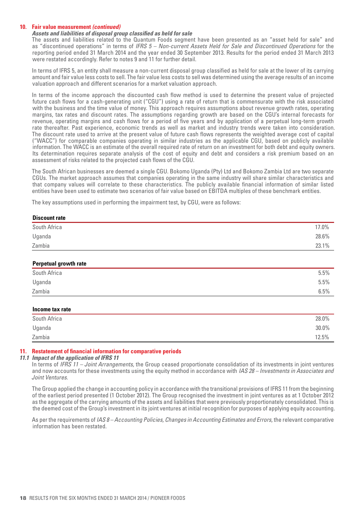#### **10. Fair value measurement** *(continued)*

#### *Assets and liabilities of disposal group classified as held for sale*

The assets and liabilities related to the Quantum Foods segment have been presented as an "asset held for sale" and as "discontinued operations" in terms of *IFRS 5 – Non-current Assets Held for Sale and Discontinued Operations* for the reporting period ended 31 March 2014 and the year ended 30 September 2013. Results for the period ended 31 March 2013 were restated accordingly. Refer to notes 9 and 11 for further detail.

 In terms of IFRS 5, an entity shall measure a non-current disposal group classified as held for sale at the lower of its carrying amount and fair value less costs to sell. The fair value less costs to sell was determined using the average results of an income valuation approach and different scenarios for a market valuation approach.

In terms of the income approach the discounted cash flow method is used to determine the present value of projected future cash flows for a cash-generating unit ("CGU") using a rate of return that is commensurate with the risk associated with the business and the time value of money. This approach requires assumptions about revenue growth rates, operating margins, tax rates and discount rates. The assumptions regarding growth are based on the CGU's internal forecasts for revenue, operating margins and cash flows for a period of five years and by application of a perpetual long-term growth rate thereafter. Past experience, economic trends as well as market and industry trends were taken into consideration. The discount rate used to arrive at the present value of future cash flows represents the weighted average cost of capital ("WACC") for comparable companies operating in similar industries as the applicable CGU, based on publicly available information. The WACC is an estimate of the overall required rate of return on an investment for both debt and equity owners. Its determination requires separate analysis of the cost of equity and debt and considers a risk premium based on an assessment of risks related to the projected cash flows of the CGU.

The South African businesses are deemed a single CGU. Bokomo Uganda (Pty) Ltd and Bokomo Zambia Ltd are two separate CGUs. The market approach assumes that companies operating in the same industry will share similar characteristics and that company values will correlate to these characteristics. The publicly available financial information of similar listed entities have been used to estimate two scenarios of fair value based on EBITDA multiples of these benchmark entities.

The key assumptions used in performing the impairment test, by CGU, were as follows:

| <b>Discount rate</b>  |       |
|-----------------------|-------|
| South Africa          | 17.0% |
| Uganda                | 28.6% |
| Zambia                | 23.1% |
| Perpetual growth rate |       |

| South Africa | 5.5% |
|--------------|------|
| Uganda       | 5.5% |
| Zambia       | 6.5% |

#### **Income tax rate**

| South Africa | 28.0%    |
|--------------|----------|
| Uganda       | $30.0\%$ |
| Zambia       | 12.5%    |

#### **11. Restatement of financial information for comparative periods**

#### *11.1 Impact of the application of IFRS 11*

 In terms of *IFRS 11 – Joint Arrangements,* the Group ceased proportionate consolidation of its investments in joint ventures and now accounts for these investments using the equity method in accordance with *IAS 28 – Investments in Associates and Joint Ventures*.

 The Group applied the change in accounting policy in accordance with the transitional provisions of IFRS 11 from the beginning of the earliest period presented (1 October 2012). The Group recognised the investment in joint ventures as at 1 October 2012 as the aggregate of the carrying amounts of the assets and liabilities that were previously proportionately consolidated. This is the deemed cost of the Group's investment in its joint ventures at initial recognition for purposes of applying equity accounting.

 As per the requirements of *IAS 8 – Accounting Policies, Changes in Accounting Estimates and Errors*, the relevant comparative information has been restated.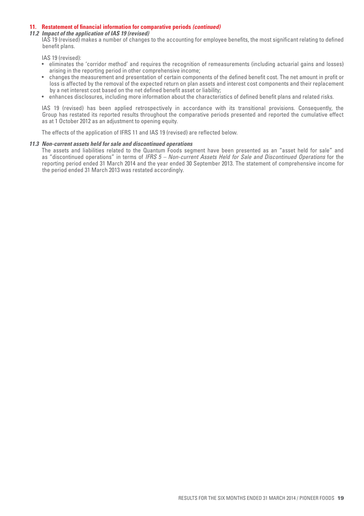#### **11. Restatement of financial information for comparative periods** *(continued)*

#### *11.2 Impact of the application of IAS 19 (revised)*

 IAS 19 (revised) makes a number of changes to the accounting for employee benefits, the most significant relating to defined benefit plans.

IAS 19 (revised):

- • eliminates the 'corridor method' and requires the recognition of remeasurements (including actuarial gains and losses) arising in the reporting period in other comprehensive income;
- • changes the measurement and presentation of certain components of the defined benefit cost. The net amount in profit or loss is affected by the removal of the expected return on plan assets and interest cost components and their replacement by a net interest cost based on the net defined benefit asset or liability;
- • enhances disclosures, including more information about the characteristics of defined benefit plans and related risks.

 IAS 19 (revised) has been applied retrospectively in accordance with its transitional provisions. Consequently, the Group has restated its reported results throughout the comparative periods presented and reported the cumulative effect as at 1 October 2012 as an adjustment to opening equity.

 The effects of the application of IFRS 11 and IAS 19 (revised) are reflected below.

#### *11.3 Non-current assets held for sale and discontinued operations*

The assets and liabilities related to the Quantum Foods segment have been presented as an "asset held for sale" and as "discontinued operations" in terms of *IFRS 5 – Non-current Assets Held for Sale and Discontinued Operations* for the reporting period ended 31 March 2014 and the year ended 30 September 2013. The statement of comprehensive income for the period ended 31 March 2013 was restated accordingly.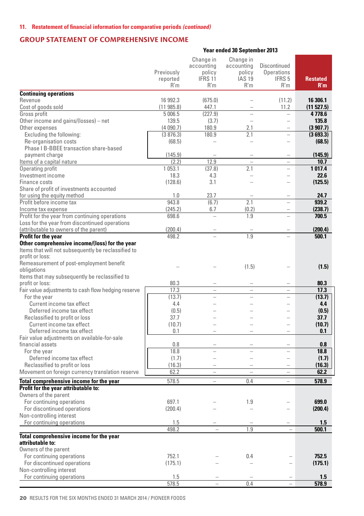### **Group Statement of Comprehensive Income**

#### Previously reported R'm Change in accounting **policy** IFRS 11 R'm Change in accounting policy  $IAS<sub>19</sub>$  R'm Discontinued **Operations** IFRS 5 R'm  **Restated R'm Continuing operations**<br>Revenue Revenue 16 992.3 (675.0) – (11.2) **16 306.1**  Cost of goods sold (11 985.8) 447.1 – 11.2 **(11 527.5)** Gross profit 5 006.5 (227.9) – – **4 778.6**  Other income and gains/(losses) – net 139.5 (3.7) – – 135.8 **135.8**<br>
Other expenses (4090.7) 180.9 2.1 – **(3907.7)** Other expenses (4 090.7) 180.9 2.1 – **(3 907.7)** Excluding the following: <br>
Re-organisation costs (3 876.3) 180.9 2.1 – **(3 693.3)**<br>
(68.5) – – – **(68.5**) Re-organisation costs (68.5) – – – **(68.5)** Phase I B-BBEE transaction share-based payment charge (145.9) – – – **(145.9)** Items of a capital nature (2.2) 12.9 – – **10.7**  Operating profit<br>
Investment income<br>
1 053.1 (37.8) 2.1 – 1 017.4<br>
22.6<br>
22.6 Investment income 18.3 4.3 – – **22.6**  Finance costs (128.6) 3.1 – – **(125.5)** Share of profit of investments accounted for using the equity method<br> **For using the equity method**<br> **For using the equity method**<br> **Profit before income tax**<br> **943.8** (6.7)<br> **2.1** – **939.2** Profit before income tax 943.8 (6.7) 2.1 – **939.2**  Income tax expense (245.2) 6.7 (0.2) – **(238.7)** Profit for the year from continuing operations Loss for the year from discontinued operations (attributable to owners of the parent) (200.4) – – – **(200.4) Profit for the year Other comprehensive income/(loss) for the year** Items that will not subsequently be reclassified to profit or loss: Remeasurement of post-employment benefit obligations – – (1.5) – **(1.5)** Items that may subsequently be reclassified to<br>profit or loss: profit or loss: 80.3 – – – **80.3**  Fair value adjustments to cash flow hedging reserve  $\begin{array}{|c|c|c|c|c|c|c|c|}\n\hline\n\text{For the year} & - & - & - & \textbf{17.3} \\
\hline\n\text{For the year} & & & & \\
\hline\n\end{array}$ For the year (13.7) – – – **(13.7)** Current income tax effect **4.4** – – – – **4.4**<br>Deferred income tax effect (0.5) – – – – (0.5) **Deferred income tax effect**  $(0.5)$  – – – – – (0.5)<br>eclassified to profit or loss – 37.7 – – – – – – 37.7 Reclassified to profit or loss<br>
Current income tax effect<br>
(10.7)  $-$  – – – (10.7) Current income tax effect **(10.7)**  $-$  (**10.7)**<br>Deferred income tax effect **(10.7)**  $-$  (**10.7)** Deferred income tax effect 0.1 – – – **0.1**  Fair value adjustments on available-for-sale financial assets 0.8 – – – **0.8**  For the year 18.8 – – – **18.8**  Deferred income tax effect (1.7) – – – **(1.7)** Reclassified to profit or loss<br>Iovement on foreign currency translation reserve  $\begin{array}{|l|c|c|c|c|c|c|c|c|}\hline (16.3) & - & - & - & - & \textbf{(16.3)}\ \hline \end{array}$ Movement on foreign currency translation reserve **Total comprehensive income for the year** 578.5 – 0.4 – **578.9 Profit for the year attributable to:** Owners of the parent For continuing operations 697.1 – 1.9 – **699.0**  For discontinued operations Non-controlling interest For continuing operations 1.5 – – – **1.5**  498.2 – 1.9 – **500.1 Total comprehensive income for the year attributable to:** Owners of the parent For continuing operations 752.1 – 0.4 – **752.5**  For discontinued operations (175.1) – – – **(175.1)** Non-controlling interest For continuing operations 1.5 – – – **1.5**  578.5 – 0.4 – **578.9**

 **Year ended 30 September 2013**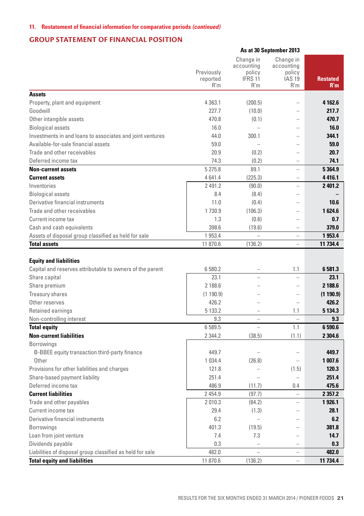#### **11. Restatement of financial information for comparative periods** *(continued)*

# **Group Statement of Financial Position**

|                                                           |                               |                                                     | As at 30 September 2013                                   |                        |
|-----------------------------------------------------------|-------------------------------|-----------------------------------------------------|-----------------------------------------------------------|------------------------|
|                                                           | Previously<br>reported<br>R'm | Change in<br>accounting<br>policy<br>IFRS 11<br>R'm | Change in<br>accounting<br>policy<br><b>IAS 19</b><br>R'm | <b>Restated</b><br>R'm |
| <b>Assets</b>                                             |                               |                                                     |                                                           |                        |
| Property, plant and equipment                             | 4 3 6 3.1                     | (200.5)                                             | $\overline{\phantom{a}}$                                  | 4 162.6                |
| Goodwill                                                  | 227.7                         | (10.0)                                              | $\overline{\phantom{a}}$                                  | 217.7                  |
| Other intangible assets                                   | 470.8                         | (0.1)                                               | $\overline{\phantom{0}}$                                  | 470.7                  |
| <b>Biological assets</b>                                  | 16.0                          | $\overline{\phantom{0}}$                            |                                                           | 16.0                   |
| Investments in and loans to associates and joint ventures | 44.0                          | 300.1                                               |                                                           | 344.1                  |
| Available-for-sale financial assets                       | 59.0                          | $\overline{a}$                                      |                                                           | 59.0                   |
| Trade and other receivables                               | 20.9                          | (0.2)                                               |                                                           | 20.7                   |
| Deferred income tax                                       | 74.3                          | (0.2)                                               | $\overline{\phantom{0}}$                                  | 74.1                   |
| <b>Non-current assets</b>                                 | 5 275.8                       | 89.1                                                | $\overline{a}$                                            | 5 3 6 4 .9             |
| <b>Current assets</b>                                     | 4641.4                        | (225.3)                                             | $\overline{\phantom{0}}$                                  | 4416.1                 |
| Inventories                                               | 2 491.2                       | (90.0)                                              |                                                           | 2 401.2                |
| <b>Biological assets</b>                                  | 8.4                           | (8.4)                                               | $\overline{\phantom{a}}$                                  |                        |
| Derivative financial instruments                          | 11.0                          | (0.4)                                               | $\overline{\phantom{a}}$                                  | 10.6                   |
| Trade and other receivables                               | 1730.9                        | (106.3)                                             | $\overline{\phantom{a}}$                                  | 1624.6                 |
| Current income tax                                        | 1.3                           | (0.6)                                               | $\overline{\phantom{a}}$                                  | 0.7                    |
| Cash and cash equivalents                                 | 398.6                         | (19.6)                                              | ÷                                                         | 379.0                  |
| Assets of disposal group classified as held for sale      | 1953.4                        |                                                     | $\overline{\phantom{a}}$                                  | 1953.4                 |
| <b>Total assets</b>                                       | 11 870.6                      | (136.2)                                             | ۳                                                         | 11 734.4               |
|                                                           |                               |                                                     |                                                           |                        |
| <b>Equity and liabilities</b>                             |                               |                                                     |                                                           |                        |
| Capital and reserves attributable to owners of the parent | 6 580.2                       |                                                     | 1.1                                                       | 6581.3                 |
| Share capital                                             | 23.1                          |                                                     |                                                           | 23.1                   |
| Share premium                                             | 2 188.6                       |                                                     |                                                           | 2 188.6                |
| Treasury shares                                           | (1190.9)                      |                                                     | $\overline{\phantom{0}}$                                  | (1190.9)               |
| Other reserves                                            | 426.2                         |                                                     |                                                           | 426.2                  |
| Retained earnings                                         | 5 133.2                       |                                                     | 1.1                                                       | 5 1 3 4 . 3            |
| Non-controlling interest                                  | 9.3                           |                                                     |                                                           | 9.3                    |
| <b>Total equity</b>                                       | 6 589.5                       |                                                     | 1.1                                                       | 6590.6                 |
| <b>Non-current liabilities</b>                            | 2 3 4 4.2                     | (38.5)                                              | (1.1)                                                     | 2 3 0 4.6              |
| <b>Borrowings</b>                                         |                               |                                                     |                                                           |                        |
| B-BBEE equity transaction third-party finance             | 449.7                         |                                                     |                                                           | 449.7                  |
| Other                                                     | 1 0 3 4.4                     | (26.8)                                              |                                                           | 1 007.6                |
| Provisions for other liabilities and charges              | 121.8                         |                                                     | (1.5)                                                     | 120.3                  |
| Share-based payment liability                             | 251.4                         |                                                     |                                                           | 251.4                  |
| Deferred income tax                                       | 486.9                         | (11.7)                                              | 0.4                                                       | 475.6                  |
| <b>Current liabilities</b>                                | 2 4 5 4.9                     | (97.7)                                              | L.                                                        | 2 3 5 7 . 2            |
| Trade and other payables                                  | 2010.3                        | (84.2)                                              | L.                                                        | 1926.1                 |
| Current income tax                                        | 29.4                          | (1.3)                                               | L,                                                        | 28.1                   |
| Derivative financial instruments                          | 6.2                           | $\equiv$                                            | L.                                                        | 6.2                    |
| Borrowings                                                | 401.3                         | (19.5)                                              | L,                                                        | 381.8                  |
| Loan from joint venture                                   | 7.4                           | 7.3                                                 | $\overline{ }$                                            | 14.7                   |
| Dividends payable                                         | 0.3                           |                                                     | L,                                                        | 0.3                    |
| Liabilities of disposal group classified as held for sale | 482.0                         | $\overline{a}$                                      | $\hspace{0.1in} - \hspace{0.1in}$                         | 482.0                  |
| <b>Total equity and liabilities</b>                       | 11 870.6                      | (136.2)                                             |                                                           | 11 734.4               |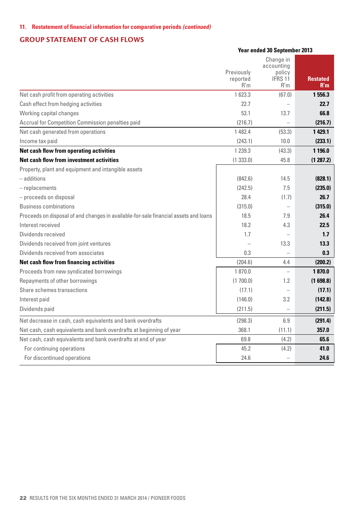# **Group Statement of Cash Flows**

|                                                                                      | Previously<br>reported<br>R'm | Change in<br>accounting<br>policy<br>IFRS 11<br>R'm | <b>Restated</b><br>R'm |
|--------------------------------------------------------------------------------------|-------------------------------|-----------------------------------------------------|------------------------|
| Net cash profit from operating activities                                            | 1623.3                        | (67.0)                                              | 1556.3                 |
| Cash effect from hedging activities                                                  | 22.7                          |                                                     | 22.7                   |
| Working capital changes                                                              | 53.1                          | 13.7                                                | 66.8                   |
| Accrual for Competition Commission penalties paid                                    | (216.7)                       |                                                     | (216.7)                |
| Net cash generated from operations                                                   | 1 482.4                       | (53.3)                                              | 1 429.1                |
| Income tax paid                                                                      | (243.1)                       | 10.0                                                | (233.1)                |
| Net cash flow from operating activities                                              | 1 2 3 9 . 3                   | (43.3)                                              | 1 196.0                |
| Net cash flow from investment activities                                             | (1333.0)                      | 45.8                                                | (1287.2)               |
| Property, plant and equipment and intangible assets                                  |                               |                                                     |                        |
| - additions                                                                          | (842.6)                       | 14.5                                                | (828.1)                |
| $-$ replacements                                                                     | (242.5)                       | 7.5                                                 | (235.0)                |
| - proceeds on disposal                                                               | 28.4                          | (1.7)                                               | 26.7                   |
| <b>Business combinations</b>                                                         | (315.0)                       | $\overline{\phantom{a}}$                            | (315.0)                |
| Proceeds on disposal of and changes in available-for-sale financial assets and loans | 18.5                          | 7.9                                                 | 26.4                   |
| Interest received                                                                    | 18.2                          | 4.3                                                 | 22.5                   |
| Dividends received                                                                   | 1.7                           |                                                     | 1.7                    |
| Dividends received from joint ventures                                               |                               | 13.3                                                | 13.3                   |
| Dividends received from associates                                                   | 0.3                           |                                                     | 0.3                    |
| Net cash flow from financing activities                                              | (204.6)                       | 4.4                                                 | (200.2)                |
| Proceeds from new syndicated borrowings                                              | 1870.0                        |                                                     | 1870.0                 |
| Repayments of other borrowings                                                       | (1700.0)                      | 1.2                                                 | (1698.8)               |
| Share schemes transactions                                                           | (17.1)                        |                                                     | (17.1)                 |
| Interest paid                                                                        | (146.0)                       | 3.2                                                 | (142.8)                |
| Dividends paid                                                                       | (211.5)                       |                                                     | (211.5)                |
| Net decrease in cash, cash equivalents and bank overdrafts                           | (298.3)                       | 6.9                                                 | (291.4)                |
| Net cash, cash equivalents and bank overdrafts at beginning of year                  | 368.1                         | (11.1)                                              | 357.0                  |
| Net cash, cash equivalents and bank overdrafts at end of year                        | 69.8                          | (4.2)                                               | 65.6                   |
| For continuing operations                                                            | 45.2                          | (4.2)                                               | 41.0                   |
| For discontinued operations                                                          | 24.6                          |                                                     | 24.6                   |

**Year ended 30 September 2013**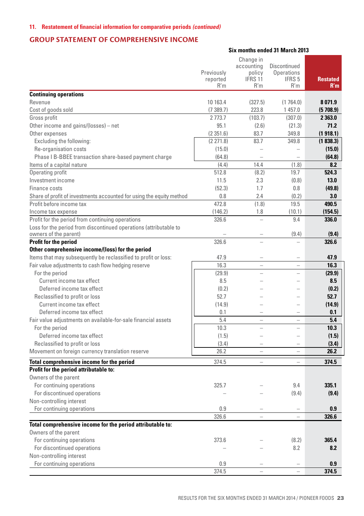# **Group Statement of Comprehensive Income**

|                                                                      |                               | Six months ended 31 March 2013                                 |                                                               |                        |
|----------------------------------------------------------------------|-------------------------------|----------------------------------------------------------------|---------------------------------------------------------------|------------------------|
|                                                                      | Previously<br>reported<br>R'm | Change in<br>accounting<br>policy<br>IFRS <sub>11</sub><br>R'm | Discontinued<br><b>Operations</b><br>IFRS <sub>5</sub><br>R'm | <b>Restated</b><br>R'm |
| <b>Continuing operations</b>                                         |                               |                                                                |                                                               |                        |
| Revenue                                                              | 10 163.4                      | (327.5)                                                        | (1764.0)                                                      | 8071.9                 |
| Cost of goods sold                                                   | (7389.7)                      | 223.8                                                          | 1457.0                                                        | (5708.9)               |
| Gross profit                                                         | 2 7 7 3 . 7                   | (103.7)                                                        | (307.0)                                                       | 2 363.0                |
| Other income and gains/(losses) - net                                | 95.1                          | (2.6)                                                          | (21.3)                                                        | 71.2                   |
| Other expenses                                                       | (2351.6)                      | 83.7                                                           | 349.8                                                         | (1918.1)               |
| Excluding the following:                                             | (2271.8)                      | 83.7                                                           | 349.8                                                         | (1838.3)               |
| Re-organisation costs                                                | (15.0)                        | $\equiv$                                                       | $\overline{\phantom{a}}$                                      | (15.0)                 |
| Phase I B-BBEE transaction share-based payment charge                | (64.8)                        |                                                                |                                                               | (64.8)                 |
| Items of a capital nature                                            | (4.4)                         | 14.4                                                           | (1.8)                                                         | 8.2                    |
| Operating profit                                                     | 512.8                         | (8.2)                                                          | 19.7                                                          | 524.3                  |
| Investment income                                                    | 11.5                          | 2.3                                                            | (0.8)                                                         | 13.0                   |
| Finance costs                                                        | (52.3)                        | 1.7                                                            | 0.8                                                           | (49.8)                 |
| Share of profit of investments accounted for using the equity method | 0.8                           | 2.4                                                            | (0.2)                                                         | 3.0                    |
| Profit before income tax                                             | 472.8                         | (1.8)                                                          | 19.5                                                          | 490.5                  |
| Income tax expense                                                   | (146.2)                       | 1.8                                                            | (10.1)                                                        | (154.5)                |
| Profit for the period from continuing operations                     | 326.6                         | L.                                                             | 9.4                                                           | 336.0                  |
| Loss for the period from discontinued operations (attributable to    |                               |                                                                |                                                               |                        |
| owners of the parent)                                                |                               |                                                                | (9.4)                                                         | (9.4)                  |
| Profit for the period                                                | 326.6                         |                                                                | L.                                                            | 326.6                  |
| Other comprehensive income/(loss) for the period                     |                               |                                                                |                                                               |                        |
| Items that may subsequently be reclassified to profit or loss:       | 47.9                          | $\overline{\phantom{a}}$                                       | $\overline{a}$                                                | 47.9                   |
| Fair value adjustments to cash flow hedging reserve                  | 16.3                          |                                                                |                                                               | 16.3                   |
| For the period                                                       | (29.9)                        |                                                                |                                                               | (29.9)                 |
| Current income tax effect<br>Deferred income tax effect              | 8.5                           |                                                                |                                                               | 8.5                    |
|                                                                      | (0.2)<br>52.7                 |                                                                |                                                               | (0.2)<br>52.7          |
| Reclassified to profit or loss                                       |                               |                                                                |                                                               |                        |
| Current income tax effect<br>Deferred income tax effect              | (14.9)                        |                                                                |                                                               | (14.9)                 |
|                                                                      | 0.1                           | L.                                                             | $\overline{\phantom{0}}$                                      | 0.1<br>5.4             |
| Fair value adjustments on available-for-sale financial assets        | 5.4<br>10.3                   | L.                                                             | i.                                                            | 10.3                   |
| For the period<br>Deferred income tax effect                         |                               | L.                                                             | ۳                                                             |                        |
| Reclassified to profit or loss                                       | (1.5)<br>(3.4)                |                                                                |                                                               | (1.5)<br>(3.4)         |
| Movement on foreign currency translation reserve                     | 26.2                          | $\overline{a}$                                                 | $\overline{a}$                                                | 26.2                   |
|                                                                      |                               |                                                                |                                                               |                        |
| Total comprehensive income for the period                            | 374.5                         | i.                                                             | $\overline{\phantom{0}}$                                      | 374.5                  |
| Profit for the period attributable to:<br>Owners of the parent       |                               |                                                                |                                                               |                        |
|                                                                      | 325.7                         |                                                                | 9.4                                                           | 335.1                  |
| For continuing operations<br>For discontinued operations             |                               |                                                                | (9.4)                                                         | (9.4)                  |
| Non-controlling interest                                             |                               |                                                                |                                                               |                        |
| For continuing operations                                            | 0.9                           |                                                                |                                                               | 0.9                    |
|                                                                      | 326.6                         | L.                                                             | $\overline{\phantom{0}}$                                      | 326.6                  |
| Total comprehensive income for the period attributable to:           |                               |                                                                |                                                               |                        |
| Owners of the parent                                                 |                               |                                                                |                                                               |                        |
| For continuing operations                                            | 373.6                         |                                                                | (8.2)                                                         | 365.4                  |
| For discontinued operations                                          |                               |                                                                | 8.2                                                           | 8.2                    |
| Non-controlling interest                                             |                               |                                                                |                                                               |                        |
| For continuing operations                                            | 0.9                           |                                                                |                                                               | 0.9                    |
|                                                                      | 374.5                         |                                                                | $\overline{a}$                                                | 374.5                  |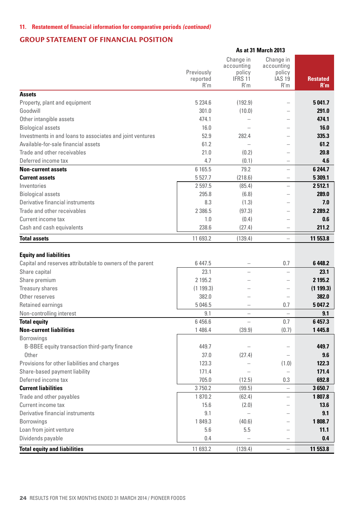# **Group Statement of Financial Position**

|                                                                                            | Previously<br>reported<br>R'm | Change in<br>accounting<br>policy<br>IFRS 11<br>R'm | Change in<br>accounting<br>policy<br><b>IAS 19</b><br>R'm | <b>Restated</b><br>R'm |
|--------------------------------------------------------------------------------------------|-------------------------------|-----------------------------------------------------|-----------------------------------------------------------|------------------------|
| <b>Assets</b>                                                                              |                               |                                                     |                                                           |                        |
| Property, plant and equipment                                                              | 5 2 3 4.6                     | (192.9)                                             |                                                           | 5041.7                 |
| Goodwill                                                                                   | 301.0                         | (10.0)                                              |                                                           | 291.0                  |
| Other intangible assets                                                                    | 474.1                         | $\overline{\phantom{0}}$                            |                                                           | 474.1                  |
| <b>Biological assets</b>                                                                   | 16.0                          |                                                     |                                                           | 16.0                   |
| Investments in and loans to associates and joint ventures                                  | 52.9                          | 282.4                                               | $\overline{\phantom{a}}$                                  | 335.3                  |
| Available-for-sale financial assets                                                        | 61.2                          | $\equiv$                                            | -                                                         | 61.2                   |
| Trade and other receivables                                                                | 21.0                          | (0.2)                                               | L                                                         | 20.8                   |
| Deferred income tax                                                                        | 4.7                           | (0.1)                                               | $\equiv$                                                  | 4.6                    |
| <b>Non-current assets</b>                                                                  | 6 165.5                       | 79.2                                                | L.                                                        | 6 244.7                |
| <b>Current assets</b>                                                                      | 5 5 2 7.7                     | (218.6)                                             | -                                                         | 5 309.1                |
| Inventories                                                                                | 2 597.5                       | (85.4)                                              |                                                           | 2512.1                 |
| <b>Biological assets</b>                                                                   | 295.8                         | (6.8)                                               | $\overline{\phantom{0}}$                                  | 289.0                  |
| Derivative financial instruments                                                           | 8.3                           | (1.3)                                               | $\overline{\phantom{a}}$                                  | 7.0                    |
| Trade and other receivables                                                                | 2 386.5                       | (97.3)                                              | $\overline{\phantom{a}}$                                  | 2 2 8 9 . 2            |
| Current income tax                                                                         | 1.0                           | (0.4)                                               | L                                                         | 0.6                    |
| Cash and cash equivalents                                                                  | 238.6                         | (27.4)                                              | L                                                         | 211.2                  |
| <b>Total assets</b>                                                                        | 11 693.2                      | (139.4)                                             | ÷                                                         | 11 553.8               |
| <b>Equity and liabilities</b><br>Capital and reserves attributable to owners of the parent | 6447.5                        | -                                                   | 0.7                                                       | 6 4 4 8.2              |
| Share capital                                                                              | 23.1                          |                                                     |                                                           | 23.1                   |
| Share premium                                                                              | 2 195.2                       |                                                     | $\overline{\phantom{a}}$                                  | 2 195.2                |
| Treasury shares                                                                            | (1199.3)                      |                                                     | ۳                                                         | (1199.3)               |
| Other reserves                                                                             | 382.0                         |                                                     | L                                                         | 382.0                  |
| Retained earnings                                                                          | 5 046.5                       |                                                     | 0.7                                                       | 5047.2                 |
| Non-controlling interest                                                                   | 9.1                           | ÷                                                   |                                                           | 9.1                    |
| <b>Total equity</b>                                                                        | 6456.6                        | $\overline{a}$                                      | 0.7                                                       | 6457.3                 |
| <b>Non-current liabilities</b>                                                             | 1 486.4                       | (39.9)                                              | (0.7)                                                     | 1 445.8                |
| <b>Borrowings</b>                                                                          |                               |                                                     |                                                           |                        |
| B-BBEE equity transaction third-party finance                                              | 449.7                         |                                                     | ÷                                                         | 449.7                  |
| Other                                                                                      | 37.0                          | (27.4)                                              | $\overline{\phantom{0}}$                                  | 9.6                    |
| Provisions for other liabilities and charges                                               | 123.3                         | L,                                                  | (1.0)                                                     | 122.3                  |
| Share-based payment liability                                                              | 171.4                         |                                                     | L.                                                        | 171.4                  |
| Deferred income tax                                                                        | 705.0                         | (12.5)                                              | 0.3                                                       | 692.8                  |
| <b>Current liabilities</b>                                                                 | 3750.2                        | (99.5)                                              | L.                                                        | 3650.7                 |
| Trade and other payables                                                                   | 1870.2                        | (62.4)                                              | $\overline{\phantom{0}}$                                  | 1807.8                 |
| Current income tax                                                                         | 15.6                          | (2.0)                                               | -                                                         | 13.6                   |
| Derivative financial instruments                                                           | 9.1                           |                                                     | -                                                         | 9.1                    |
| <b>Borrowings</b>                                                                          | 1849.3                        | (40.6)                                              | $\overline{\phantom{a}}$                                  | 1808.7                 |
| Loan from joint venture                                                                    | 5.6                           | 5.5                                                 | L.                                                        | 11.1                   |
| Dividends payable                                                                          | 0.4                           |                                                     | L                                                         | 0.4                    |
| <b>Total equity and liabilities</b>                                                        | 11 693.2                      | (139.4)                                             | ÷                                                         | 11 553.8               |

**As at 31 March 2013**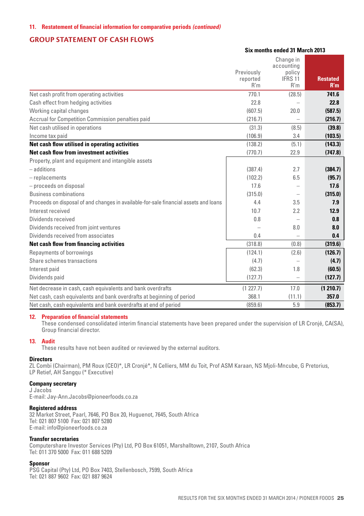#### **Group Statement of Cash Flows**

#### **Six months ended 31 March 2013**

|                                                                                      |            | Change in                |                 |
|--------------------------------------------------------------------------------------|------------|--------------------------|-----------------|
|                                                                                      | Previously | accounting<br>policy     |                 |
|                                                                                      | reported   | IFRS 11                  | <b>Restated</b> |
|                                                                                      | R'm        | R'm                      | R'm             |
| Net cash profit from operating activities                                            | 770.1      | (28.5)                   | 741.6           |
| Cash effect from hedging activities                                                  | 22.8       |                          | 22.8            |
| Working capital changes                                                              | (607.5)    | 20.0                     | (587.5)         |
| Accrual for Competition Commission penalties paid                                    | (216.7)    |                          | (216.7)         |
| Net cash utilised in operations                                                      | (31.3)     | (8.5)                    | (39.8)          |
| Income tax paid                                                                      | (106.9)    | 3.4                      | (103.5)         |
| Net cash flow utilised in operating activities                                       | (138.2)    | (5.1)                    | (143.3)         |
| Net cash flow from investment activities                                             | (770.7)    | 22.9                     | (747.8)         |
| Property, plant and equipment and intangible assets                                  |            |                          |                 |
| - additions                                                                          | (387.4)    | 2.7                      | (384.7)         |
| $-$ replacements                                                                     | (102.2)    | 6.5                      | (95.7)          |
| - proceeds on disposal                                                               | 17.6       |                          | 17.6            |
| <b>Business combinations</b>                                                         | (315.0)    |                          | (315.0)         |
| Proceeds on disposal of and changes in available-for-sale financial assets and loans | 4.4        | 3.5                      | 7.9             |
| Interest received                                                                    | 107        | 2.2                      | 12.9            |
| Dividends received                                                                   | 0.8        | $\overline{\phantom{a}}$ | 0.8             |
| Dividends received from joint ventures                                               |            | 8.0                      | 8.0             |
| Dividends received from associates                                                   | 0.4        |                          | 0.4             |
| Net cash flow from financing activities                                              | (318.8)    | (0.8)                    | (319.6)         |
| Repayments of borrowings                                                             | (124.1)    | (2.6)                    | (126.7)         |
| Share schemes transactions                                                           | (4.7)      | $\overline{\phantom{a}}$ | (4.7)           |
| Interest paid                                                                        | (62.3)     | 1.8                      | (60.5)          |
| Dividends paid                                                                       | (127.7)    |                          | (127.7)         |
| Net decrease in cash, cash equivalents and bank overdrafts                           | (1227.7)   | 17.0                     | (1 210.7)       |
| Net cash, cash equivalents and bank overdrafts at beginning of period                | 368.1      | (11.1)                   | 357.0           |
| Net cash, cash equivalents and bank overdrafts at end of period                      | (859.6)    | 5.9                      | (853.7)         |

#### **12. Preparation of financial statements**

 These condensed consolidated interim financial statements have been prepared under the supervision of LR Cronjé, CA(SA), Group financial director.

#### **13. Audit**

These results have not been audited or reviewed by the external auditors.

#### **Directors**

ZL Combi (Chairman), PM Roux (CEO)\*, LR Cronjé\*, N Celliers, MM du Toit, Prof ASM Karaan, NS Mjoli-Mncube, G Pretorius, LP Retief, AH Sangqu (\* Executive)

#### **Company secretary**

J Jacobs E-mail: Jay-Ann.Jacobs@pioneerfoods.co.za

#### **Registered address**

32 Market Street, Paarl, 7646, PO Box 20, Huguenot, 7645, South Africa Tel: 021 807 5100 Fax: 021 807 5280 E-mail: info@pioneerfoods.co.za

#### **Transfer secretaries**

Computershare Investor Services (Pty) Ltd, PO Box 61051, Marshalltown, 2107, South Africa Tel: 011 370 5000 Fax: 011 688 5209

#### **Sponsor**

PSG Capital (Pty) Ltd, PO Box 7403, Stellenbosch, 7599, South Africa Tel: 021 887 9602 Fax: 021 887 9624